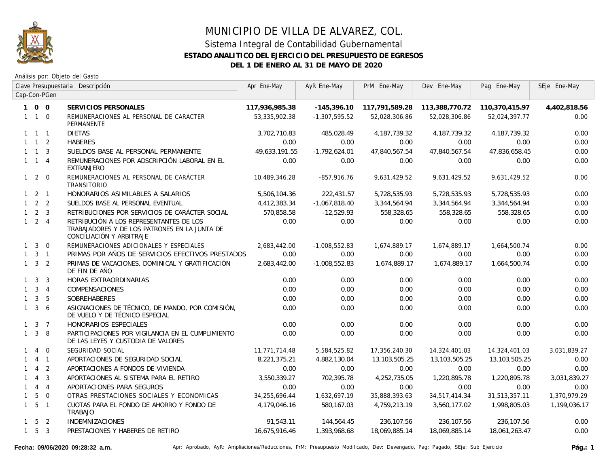

|              | Clave Presupuestaria Descripción |                | Apr Ene-May                                                                                                          | AyR Ene-May    | PrM Ene-May     | Dev Ene-May    | Pag Ene-May     | SEje Ene-May                  |              |
|--------------|----------------------------------|----------------|----------------------------------------------------------------------------------------------------------------------|----------------|-----------------|----------------|-----------------|-------------------------------|--------------|
|              |                                  | Cap-Con-PGen   |                                                                                                                      |                |                 |                |                 |                               |              |
|              | 100                              |                | SERVICIOS PERSONALES                                                                                                 | 117,936,985.38 | $-145,396.10$   | 117,791,589.28 |                 | 113,388,770.72 110,370,415.97 | 4,402,818.56 |
|              | $1 \quad 1 \quad 0$              |                | REMUNERACIONES AL PERSONAL DE CARACTER<br>PERMANENTE                                                                 | 53,335,902.38  | $-1,307,595.52$ | 52,028,306.86  | 52,028,306.86   | 52,024,397.77                 | 0.00         |
|              | $1 \quad 1 \quad 1$              |                | <b>DIETAS</b>                                                                                                        | 3,702,710.83   | 485,028.49      | 4,187,739.32   | 4, 187, 739. 32 | 4, 187, 739. 32               | 0.00         |
|              | $1 \quad 1 \quad 2$              |                | <b>HABERES</b>                                                                                                       | 0.00           | 0.00            | 0.00           | 0.00            | 0.00                          | 0.00         |
|              | $1 \quad 1 \quad 3$              |                | SUELDOS BASE AL PERSONAL PERMANENTE                                                                                  | 49.633.191.55  | $-1,792,624.01$ | 47,840,567.54  | 47,840,567.54   | 47,836,658.45                 | 0.00         |
|              | $1 \quad 1 \quad 4$              |                | REMUNERACIONES POR ADSCRIPCIÓN LABORAL EN EL<br><b>EXTRANJERO</b>                                                    | 0.00           | 0.00            | 0.00           | 0.00            | 0.00                          | 0.00         |
|              | $1\quad2\quad0$                  |                | REMUNERACIONES AL PERSONAL DE CARÁCTER<br><b>TRANSITORIO</b>                                                         | 10,489,346.28  | $-857,916.76$   | 9,631,429.52   | 9,631,429.52    | 9.631.429.52                  | 0.00         |
|              | $1 \quad 2 \quad 1$              |                | HONORARIOS ASIMILABLES A SALARIOS                                                                                    | 5,506,104.36   | 222,431.57      | 5,728,535.93   | 5,728,535.93    | 5,728,535.93                  | 0.00         |
|              | $1 \quad 2 \quad 2$              |                | SUELDOS BASE AL PERSONAL EVENTUAL                                                                                    | 4,412,383.34   | $-1,067,818.40$ | 3,344,564.94   | 3,344,564.94    | 3,344,564.94                  | 0.00         |
|              | $1 \quad 2 \quad 3$              |                | RETRIBUCIONES POR SERVICIOS DE CARÁCTER SOCIAL                                                                       | 570,858.58     | $-12,529.93$    | 558,328.65     | 558,328.65      | 558,328.65                    | 0.00         |
|              | $1 \quad 2 \quad 4$              |                | RETRIBUCIÓN A LOS REPRESENTANTES DE LOS<br>TRABAJADORES Y DE LOS PATRONES EN LA JUNTA DE<br>CONCILIACIÓN Y ARBITRAJE | 0.00           | 0.00            | 0.00           | 0.00            | 0.00                          | 0.00         |
|              | $1 \quad 3 \quad 0$              |                | REMUNERACIONES ADICIONALES Y ESPECIALES                                                                              | 2,683,442.00   | $-1,008,552.83$ | 1,674,889.17   | 1,674,889.17    | 1,664,500.74                  | 0.00         |
|              | $1 \quad 3 \quad 1$              |                | PRIMAS POR AÑOS DE SERVICIOS EFECTIVOS PRESTADOS                                                                     | 0.00           | 0.00            | 0.00           | 0.00            | 0.00                          | 0.00         |
|              | $1 \quad 3 \quad 2$              |                | PRIMAS DE VACACIONES, DOMINICAL Y GRATIFICACIÓN<br>DE FIN DE AÑO                                                     | 2,683,442.00   | $-1,008,552.83$ | 1,674,889.17   | 1,674,889.17    | 1,664,500.74                  | 0.00         |
|              | $1 \quad 3$                      | $\overline{3}$ | HORAS EXTRAORDINARIAS                                                                                                | 0.00           | 0.00            | 0.00           | 0.00            | 0.00                          | 0.00         |
|              | $1 \quad 3 \quad 4$              |                | COMPENSACIONES                                                                                                       | 0.00           | 0.00            | 0.00           | 0.00            | 0.00                          | 0.00         |
|              | $1 \quad 3 \quad 5$              |                | SOBREHABERES                                                                                                         | 0.00           | 0.00            | 0.00           | 0.00            | 0.00                          | 0.00         |
| $\mathbf{1}$ |                                  | 36             | ASIGNACIONES DE TÉCNICO, DE MANDO, POR COMISIÓN,<br>DE VUELO Y DE TÉCNICO ESPECIAL                                   | 0.00           | 0.00            | 0.00           | 0.00            | 0.00                          | 0.00         |
|              | $1 \quad 3 \quad 7$              |                | HONORARIOS ESPECIALES                                                                                                | 0.00           | 0.00            | 0.00           | 0.00            | 0.00                          | 0.00         |
|              | $1 \quad 3 \quad 8$              |                | PARTICIPACIONES POR VIGILANCIA EN EL CUMPLIMIENTO<br>DE LAS LEYES Y CUSTODIA DE VALORES                              | 0.00           | 0.00            | 0.00           | 0.00            | 0.00                          | 0.00         |
| 1            | $\overline{4}$                   | $\Omega$       | SEGURIDAD SOCIAL                                                                                                     | 11,771,714.48  | 5,584,525.82    | 17,356,240.30  | 14,324,401.03   | 14,324,401.03                 | 3,031,839.27 |
| 1            |                                  | $4 \quad 1$    | APORTACIONES DE SEGURIDAD SOCIAL                                                                                     | 8,221,375.21   | 4,882,130.04    | 13,103,505.25  | 13,103,505.25   | 13,103,505.25                 | 0.00         |
|              | $\overline{4}$                   | $\overline{2}$ | APORTACIONES A FONDOS DE VIVIENDA                                                                                    | 0.00           | 0.00            | 0.00           | 0.00            | 0.00                          | 0.00         |
| $\mathbf{1}$ | $\overline{4}$                   | $\overline{3}$ | APORTACIONES AL SISTEMA PARA EL RETIRO                                                                               | 3,550,339.27   | 702,395.78      | 4,252,735.05   | 1,220,895.78    | 1,220,895.78                  | 3,031,839.27 |
|              | 144                              |                | APORTACIONES PARA SEGUROS                                                                                            | 0.00           | 0.00            | 0.00           | 0.00            | 0.00                          | 0.00         |
| $\mathbf{1}$ | 5                                | $\overline{0}$ | OTRAS PRESTACIONES SOCIALES Y ECONOMICAS                                                                             | 34,255,696.44  | 1,632,697.19    | 35,888,393.63  | 34,517,414.34   | 31,513,357.11                 | 1,370,979.29 |
|              | $1\quad 5\quad 1$                |                | CUOTAS PARA EL FONDO DE AHORRO Y FONDO DE<br>TRABAJO                                                                 | 4,179,046.16   | 580,167.03      | 4,759,213.19   | 3,560,177.02    | 1,998,805.03                  | 1,199,036.17 |
|              | $1 \quad 5 \quad 2$              |                | <b>INDEMNIZACIONES</b>                                                                                               | 91,543.11      | 144,564.45      | 236,107.56     | 236,107.56      | 236,107.56                    | 0.00         |
|              | $1\quad 5\quad 3$                |                | PRESTACIONES Y HABERES DE RETIRO                                                                                     | 16,675,916.46  | 1,393,968.68    | 18,069,885.14  | 18,069,885.14   | 18,061,263.47                 | 0.00         |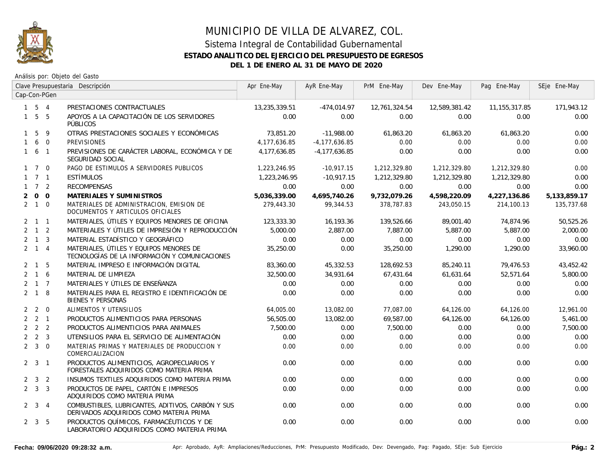

|              |                     |              | Clave Presupuestaria Descripción                                                             | Apr Ene-May   | AyR Ene-May       | PrM Ene-May   | Dev Ene-May   | Pag Ene-May     | SEje Ene-May |
|--------------|---------------------|--------------|----------------------------------------------------------------------------------------------|---------------|-------------------|---------------|---------------|-----------------|--------------|
|              |                     | Cap-Con-PGen |                                                                                              |               |                   |               |               |                 |              |
|              | $1\quad 5\quad 4$   |              | PRESTACIONES CONTRACTUALES                                                                   | 13,235,339.51 | $-474,014.97$     | 12,761,324.54 | 12,589,381.42 | 11, 155, 317.85 | 171,943.12   |
|              | $1\quad 5\quad 5$   |              | APOYOS A LA CAPACITACIÓN DE LOS SERVIDORES<br><b>PÚBLICOS</b>                                | 0.00          | 0.00              | 0.00          | 0.00          | 0.00            | 0.00         |
|              | 1 5                 | - 9          | OTRAS PRESTACIONES SOCIALES Y ECONÓMICAS                                                     | 73,851.20     | $-11,988.00$      | 61,863.20     | 61,863.20     | 61,863.20       | 0.00         |
| $\mathbf{1}$ |                     | 6 0          | <b>PREVISIONES</b>                                                                           | 4,177,636.85  | $-4, 177, 636.85$ | 0.00          | 0.00          | 0.00            | 0.00         |
|              | $1\quad 6\quad 1$   |              | PREVISIONES DE CARÁCTER LABORAL, ECONÓMICA Y DE<br>SEGURIDAD SOCIAL                          | 4,177,636.85  | $-4, 177, 636.85$ | 0.00          | 0.00          | 0.00            | 0.00         |
|              | $1 \quad 7 \quad 0$ |              | PAGO DE ESTIMULOS A SERVIDORES PUBLICOS                                                      | 1,223,246.95  | $-10,917.15$      | 1,212,329.80  | 1,212,329.80  | 1,212,329.80    | 0.00         |
|              | $1 \quad 7 \quad 1$ |              | <b>ESTÍMULOS</b>                                                                             | 1,223,246.95  | $-10,917.15$      | 1,212,329.80  | 1,212,329.80  | 1,212,329.80    | 0.00         |
|              | $1 \quad 7 \quad 2$ |              | <b>RECOMPENSAS</b>                                                                           | 0.00          | 0.00              | 0.00          | 0.00          | 0.00            | 0.00         |
| 2            | $0\quad 0$          |              | MATERIALES Y SUMINISTROS                                                                     | 5.036.339.00  | 4,695,740.26      | 9,732,079.26  | 4,598,220.09  | 4,227,136.86    | 5,133,859.17 |
|              | $2 \quad 1 \quad 0$ |              | MATERIALES DE ADMINISTRACION, EMISION DE<br>DOCUMENTOS Y ARTICULOS OFICIALES                 | 279,443.30    | 99,344.53         | 378,787.83    | 243,050.15    | 214,100.13      | 135,737.68   |
|              | $2 \quad 1 \quad 1$ |              | MATERIALES, ÚTILES Y EQUIPOS MENORES DE OFICINA                                              | 123,333.30    | 16,193.36         | 139,526.66    | 89,001.40     | 74,874.96       | 50,525.26    |
|              | $2 \quad 1 \quad 2$ |              | MATERIALES Y ÚTILES DE IMPRESIÓN Y REPRODUCCIÓN                                              | 5,000.00      | 2,887.00          | 7,887.00      | 5,887.00      | 5,887.00        | 2,000.00     |
|              | $2 \quad 1 \quad 3$ |              | MATERIAL ESTADÍSTICO Y GEOGRÁFICO                                                            | 0.00          | 0.00              | 0.00          | 0.00          | 0.00            | 0.00         |
|              | $2 \quad 1 \quad 4$ |              | MATERIALES, ÚTILES Y EQUIPOS MENORES DE<br>TECNOLOGÍAS DE LA INFORMACIÓN Y COMUNICACIONES    | 35,250.00     | 0.00              | 35,250.00     | 1,290.00      | 1,290.00        | 33,960.00    |
|              | $2 \quad 1 \quad 5$ |              | MATERIAL IMPRESO E INFORMACIÓN DIGITAL                                                       | 83,360.00     | 45,332.53         | 128,692.53    | 85,240.11     | 79,476.53       | 43,452.42    |
|              | $2 \t1 \t6$         |              | MATERIAL DE LIMPIEZA                                                                         | 32,500.00     | 34,931.64         | 67,431.64     | 61,631.64     | 52,571.64       | 5,800.00     |
|              | $2 \t1 \t7$         |              | MATERIALES Y ÚTILES DE ENSEÑANZA                                                             | 0.00          | 0.00              | 0.00          | 0.00          | 0.00            | 0.00         |
|              | $2 \quad 1 \quad 8$ |              | MATERIALES PARA EL REGISTRO E IDENTIFICACIÓN DE<br><b>BIENES Y PERSONAS</b>                  | 0.00          | 0.00              | 0.00          | 0.00          | 0.00            | 0.00         |
|              | $2\quad 2\quad 0$   |              | ALIMENTOS Y UTENSILIOS                                                                       | 64,005.00     | 13,082.00         | 77.087.00     | 64,126.00     | 64,126.00       | 12,961.00    |
|              | $2 \quad 2 \quad 1$ |              | PRODUCTOS ALIMENTICIOS PARA PERSONAS                                                         | 56,505.00     | 13,082.00         | 69,587.00     | 64,126.00     | 64,126.00       | 5,461.00     |
|              | $2 \quad 2 \quad 2$ |              | PRODUCTOS ALIMENTICIOS PARA ANIMALES                                                         | 7,500.00      | 0.00              | 7,500.00      | 0.00          | 0.00            | 7,500.00     |
|              | $2 \quad 2 \quad 3$ |              | UTENSILIOS PARA EL SERVICIO DE ALIMENTACIÓN                                                  | 0.00          | 0.00              | 0.00          | 0.00          | 0.00            | 0.00         |
|              | $2 \quad 3 \quad 0$ |              | MATERIAS PRIMAS Y MATERIALES DE PRODUCCION Y<br>COMERCIALIZACION                             | 0.00          | 0.00              | 0.00          | 0.00          | 0.00            | 0.00         |
|              | $2 \quad 3 \quad 1$ |              | PRODUCTOS ALIMENTICIOS, AGROPECUARIOS Y<br>FORESTALES ADQUIRIDOS COMO MATERIA PRIMA          | 0.00          | 0.00              | 0.00          | 0.00          | 0.00            | 0.00         |
|              | $2 \quad 3 \quad 2$ |              | INSUMOS TEXTILES ADQUIRIDOS COMO MATERIA PRIMA                                               | 0.00          | 0.00              | 0.00          | 0.00          | 0.00            | 0.00         |
|              | $2 \quad 3 \quad 3$ |              | PRODUCTOS DE PAPEL, CARTÓN E IMPRESOS<br>ADQUIRIDOS COMO MATERIA PRIMA                       | 0.00          | 0.00              | 0.00          | 0.00          | 0.00            | 0.00         |
|              | $2 \quad 3 \quad 4$ |              | COMBUSTIBLES, LUBRICANTES, ADITIVOS, CARBÓN Y SUS<br>DERIVADOS ADQUIRIDOS COMO MATERIA PRIMA | 0.00          | 0.00              | 0.00          | 0.00          | 0.00            | 0.00         |
|              | $2 \quad 3 \quad 5$ |              | PRODUCTOS QUÍMICOS, FARMACÉUTICOS Y DE<br>LABORATORIO ADQUIRIDOS COMO MATERIA PRIMA          | 0.00          | 0.00              | 0.00          | 0.00          | 0.00            | 0.00         |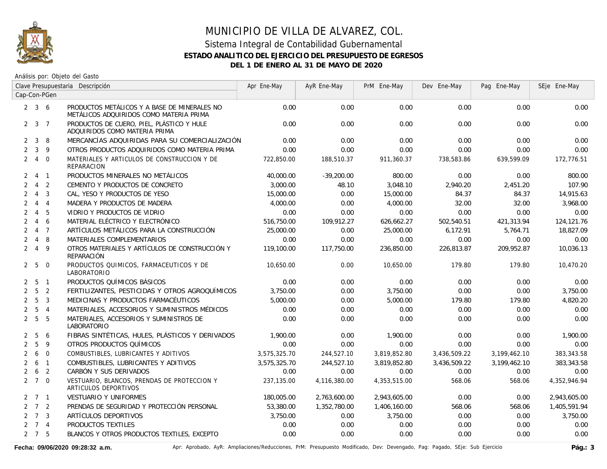

Análisis por: Objeto del Gasto

|                | Clave Presupuestaria Descripción |                         |                                                                                         | Apr Ene-May  | AyR Ene-May  | PrM Ene-May  | Dev Ene-May  | Pag Ene-May  | SEje Ene-May |
|----------------|----------------------------------|-------------------------|-----------------------------------------------------------------------------------------|--------------|--------------|--------------|--------------|--------------|--------------|
|                |                                  | Cap-Con-PGen            |                                                                                         |              |              |              |              |              |              |
|                | $2 \quad 3 \quad 6$              |                         | PRODUCTOS METÁLICOS Y A BASE DE MINERALES NO<br>METÁLICOS ADQUIRIDOS COMO MATERIA PRIMA | 0.00         | 0.00         | 0.00         | 0.00         | 0.00         | 0.00         |
|                | $2 \quad 3 \quad 7$              |                         | PRODUCTOS DE CUERO, PIEL, PLÁSTICO Y HULE<br>ADQUIRIDOS COMO MATERIA PRIMA              | 0.00         | 0.00         | 0.00         | 0.00         | 0.00         | 0.00         |
| $\mathbf{2}$   | 3                                | 8                       | MERCANCÍAS ADQUIRIDAS PARA SU COMERCIALIZACIÓN                                          | 0.00         | 0.00         | 0.00         | 0.00         | 0.00         | 0.00         |
| $\overline{2}$ | $\mathbf{3}$                     | 9                       | OTROS PRODUCTOS ADQUIRIDOS COMO MATERIA PRIMA                                           | 0.00         | 0.00         | 0.00         | 0.00         | 0.00         | 0.00         |
|                | $2 \quad 4$                      | $\overline{0}$          | MATERIALES Y ARTICULOS DE CONSTRUCCION Y DE<br>REPARACION                               | 722,850.00   | 188,510.37   | 911,360.37   | 738,583.86   | 639,599.09   | 172,776.51   |
|                | 2 4 1                            |                         | PRODUCTOS MINERALES NO METÁLICOS                                                        | 40,000.00    | $-39.200.00$ | 800.00       | 0.00         | 0.00         | 800.00       |
| $\overline{2}$ | $\overline{4}$                   | $\overline{2}$          | CEMENTO Y PRODUCTOS DE CONCRETO                                                         | 3,000.00     | 48.10        | 3,048.10     | 2,940.20     | 2,451.20     | 107.90       |
|                | $2 \quad 4$                      | $\overline{\mathbf{3}}$ | CAL, YESO Y PRODUCTOS DE YESO                                                           | 15,000.00    | 0.00         | 15,000.00    | 84.37        | 84.37        | 14,915.63    |
| $\overline{2}$ | $\overline{4}$                   | $\overline{4}$          | MADERA Y PRODUCTOS DE MADERA                                                            | 4,000.00     | 0.00         | 4,000.00     | 32.00        | 32.00        | 3,968.00     |
| $\overline{2}$ | $\overline{4}$                   | 5                       | VIDRIO Y PRODUCTOS DE VIDRIO                                                            | 0.00         | 0.00         | 0.00         | 0.00         | 0.00         | 0.00         |
| $\overline{2}$ | $\overline{4}$                   | 6                       | MATERIAL ELÉCTRICO Y ELECTRÓNICO                                                        | 516,750.00   | 109,912.27   | 626,662.27   | 502,540.51   | 421,313.94   | 124,121.76   |
| $\overline{2}$ |                                  | $4 \overline{7}$        | ARTÍCULOS METÁLICOS PARA LA CONSTRUCCIÓN                                                | 25,000.00    | 0.00         | 25,000.00    | 6,172.91     | 5,764.71     | 18,827.09    |
| $\overline{2}$ | $\overline{4}$                   | 8                       | MATERIALES COMPLEMENTARIOS                                                              | 0.00         | 0.00         | 0.00         | 0.00         | 0.00         | 0.00         |
|                | $2 \quad 4$                      | $\overline{9}$          | OTROS MATERIALES Y ARTÍCULOS DE CONSTRUCCIÓN Y<br><b>REPARACIÓN</b>                     | 119,100.00   | 117,750.00   | 236,850.00   | 226,813.87   | 209,952.87   | 10,036.13    |
|                | 2 5                              | $\overline{0}$          | PRODUCTOS QUIMICOS, FARMACEUTICOS Y DE<br>LABORATORIO                                   | 10,650.00    | 0.00         | 10,650.00    | 179.80       | 179.80       | 10,470.20    |
|                | $2\quad 5\quad 1$                |                         | PRODUCTOS QUÍMICOS BÁSICOS                                                              | 0.00         | 0.00         | 0.00         | 0.00         | 0.00         | 0.00         |
|                | 2 <sub>5</sub>                   | $\overline{2}$          | FERTILIZANTES, PESTICIDAS Y OTROS AGROQUÍMICOS                                          | 3,750.00     | 0.00         | 3,750.00     | 0.00         | 0.00         | 3,750.00     |
|                | 2 <sub>5</sub>                   | $\overline{3}$          | MEDICINAS Y PRODUCTOS FARMACÉUTICOS                                                     | 5,000.00     | 0.00         | 5,000.00     | 179.80       | 179.80       | 4,820.20     |
| $\overline{2}$ | 5                                | $\overline{4}$          | MATERIALES, ACCESORIOS Y SUMINISTROS MÉDICOS                                            | 0.00         | 0.00         | 0.00         | 0.00         | 0.00         | 0.00         |
|                | 2 <sub>5</sub>                   | 5                       | MATERIALES, ACCESORIOS Y SUMINISTROS DE<br>LABORATORIO                                  | 0.00         | 0.00         | 0.00         | 0.00         | 0.00         | 0.00         |
| $\mathbf{2}$   | 5                                | 6                       | FIBRAS SINTÉTICAS, HULES, PLÁSTICOS Y DERIVADOS                                         | 1,900.00     | 0.00         | 1,900.00     | 0.00         | 0.00         | 1,900.00     |
| $\overline{2}$ | 5                                | 9                       | OTROS PRODUCTOS QUÍMICOS                                                                | 0.00         | 0.00         | 0.00         | 0.00         | 0.00         | 0.00         |
| $\overline{2}$ | 6                                | $\overline{0}$          | COMBUSTIBLES, LUBRICANTES Y ADITIVOS                                                    | 3,575,325.70 | 244,527.10   | 3,819,852.80 | 3,436,509.22 | 3,199,462.10 | 383,343.58   |
| $\overline{2}$ | 6                                | $\overline{1}$          | COMBUSTIBLES, LUBRICANTES Y ADITIVOS                                                    | 3,575,325.70 | 244,527.10   | 3,819,852.80 | 3,436,509.22 | 3,199,462.10 | 383,343.58   |
| $\overline{2}$ | 6                                | $\overline{2}$          | CARBÓN Y SUS DERIVADOS                                                                  | 0.00         | 0.00         | 0.00         | 0.00         | 0.00         | 0.00         |
|                | $2 \quad 7 \quad 0$              |                         | VESTUARIO, BLANCOS, PRENDAS DE PROTECCION Y<br>ARTICULOS DEPORTIVOS                     | 237,135.00   | 4,116,380.00 | 4,353,515.00 | 568.06       | 568.06       | 4,352,946.94 |
|                | $2 \quad 7 \quad 1$              |                         | VESTUARIO Y UNIFORMES                                                                   | 180,005.00   | 2,763,600.00 | 2,943,605.00 | 0.00         | 0.00         | 2,943,605.00 |
|                | $2 \quad 7 \quad 2$              |                         | PRENDAS DE SEGURIDAD Y PROTECCIÓN PERSONAL                                              | 53,380.00    | 1,352,780.00 | 1,406,160.00 | 568.06       | 568.06       | 1,405,591.94 |
|                | $2 \quad 7 \quad 3$              |                         | ARTÍCULOS DEPORTIVOS                                                                    | 3,750.00     | 0.00         | 3,750.00     | 0.00         | 0.00         | 3,750.00     |
|                | $2 \quad 7 \quad 4$              |                         | PRODUCTOS TEXTILES                                                                      | 0.00         | 0.00         | 0.00         | 0.00         | 0.00         | 0.00         |
|                | $2 \quad 7 \quad 5$              |                         | BLANCOS Y OTROS PRODUCTOS TEXTILES, EXCEPTO                                             | 0.00         | 0.00         | 0.00         | 0.00         | 0.00         | 0.00         |

Fecha: 09/06/2020 09:28:32 a.m. **Aprical Access** Aprical AyR: Ampliaciones/Reducciones, PrM: Presupuesto Modificado, Dev: Devengado, Pag: Pagado, SEje: Sub Ejercicio Pág.: 3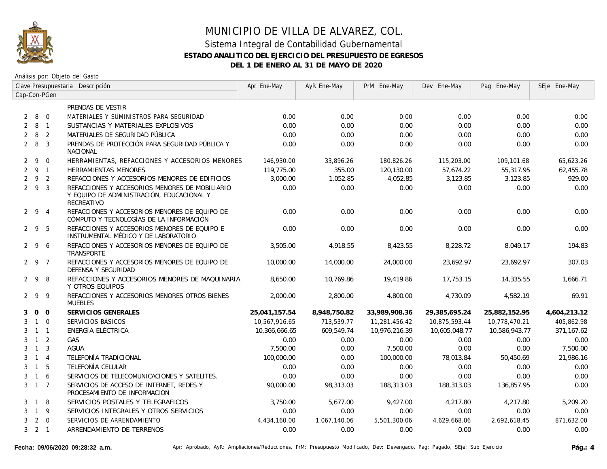

|   | Clave Presupuestaria Descripción |                |                                                                                                           | Apr Ene-May   | AyR Ene-May  | PrM Ene-May   | Dev Ene-May   | Pag Ene-May   | SEje Ene-May |
|---|----------------------------------|----------------|-----------------------------------------------------------------------------------------------------------|---------------|--------------|---------------|---------------|---------------|--------------|
|   |                                  | Cap-Con-PGen   |                                                                                                           |               |              |               |               |               |              |
|   |                                  |                | PRENDAS DE VESTIR                                                                                         |               |              |               |               |               |              |
|   | 280                              |                | MATERIALES Y SUMINISTROS PARA SEGURIDAD                                                                   | 0.00          | 0.00         | 0.00          | 0.00          | 0.00          | 0.00         |
| 2 | 8 1                              |                | SUSTANCIAS Y MATERIALES EXPLOSIVOS                                                                        | 0.00          | 0.00         | 0.00          | 0.00          | 0.00          | 0.00         |
| 2 | 8                                | $\overline{2}$ | MATERIALES DE SEGURIDAD PÚBLICA                                                                           | 0.00          | 0.00         | 0.00          | 0.00          | 0.00          | 0.00         |
|   | $2 \quad 8$                      | $\overline{3}$ | PRENDAS DE PROTECCIÓN PARA SEGURIDAD PÚBLICA Y<br><b>NACIONAL</b>                                         | 0.00          | 0.00         | 0.00          | 0.00          | 0.00          | 0.00         |
| 2 | 9                                | $\Omega$       | HERRAMIENTAS, REFACCIONES Y ACCESORIOS MENORES                                                            | 146,930.00    | 33,896.26    | 180,826.26    | 115,203.00    | 109,101.68    | 65,623.26    |
|   | 291                              |                | <b>HERRAMIENTAS MENORES</b>                                                                               | 119,775.00    | 355.00       | 120,130.00    | 57,674.22     | 55,317.95     | 62,455.78    |
|   | $2 \quad 9 \quad 2$              |                | REFACCIONES Y ACCESORIOS MENORES DE EDIFICIOS                                                             | 3,000.00      | 1,052.85     | 4,052.85      | 3,123.85      | 3,123.85      | 929.00       |
|   | $2\quad 9\quad 3$                |                | REFACCIONES Y ACCESORIOS MENORES DE MOBILIARIO<br>Y EQUIPO DE ADMINISTRACIÓN, EDUCACIONAL Y<br>RECREATIVO | 0.00          | 0.00         | 0.00          | 0.00          | 0.00          | 0.00         |
|   | $2 \t 9 \t 4$                    |                | REFACCIONES Y ACCESORIOS MENORES DE EQUIPO DE<br>CÓMPUTO Y TECNOLOGÍAS DE LA INFORMACIÓN                  | 0.00          | 0.00         | 0.00          | 0.00          | 0.00          | 0.00         |
|   | $2 \t9 \t5$                      |                | REFACCIONES Y ACCESORIOS MENORES DE EQUIPO E<br>INSTRUMENTAL MÉDICO Y DE LABORATORIO                      | 0.00          | 0.00         | 0.00          | 0.00          | 0.00          | 0.00         |
|   | 296                              |                | REFACCIONES Y ACCESORIOS MENORES DE EQUIPO DE<br>TRANSPORTE                                               | 3,505.00      | 4,918.55     | 8,423.55      | 8,228.72      | 8,049.17      | 194.83       |
|   | 2 9 7                            |                | REFACCIONES Y ACCESORIOS MENORES DE EQUIPO DE<br>DEFENSA Y SEGURIDAD                                      | 10,000.00     | 14,000.00    | 24,000.00     | 23,692.97     | 23,692.97     | 307.03       |
|   | 298                              |                | REFACCIONES Y ACCESORIOS MENORES DE MAQUINARIA<br>Y OTROS EQUIPOS                                         | 8,650.00      | 10,769.86    | 19,419.86     | 17,753.15     | 14,335.55     | 1,666.71     |
|   | 299                              |                | REFACCIONES Y ACCESORIOS MENORES OTROS BIENES<br><b>MUEBLES</b>                                           | 2,000.00      | 2,800.00     | 4,800.00      | 4,730.09      | 4,582.19      | 69.91        |
| 3 |                                  | $0\quad 0$     | SERVICIOS GENERALES                                                                                       | 25,041,157.54 | 8,948,750.82 | 33,989,908.36 | 29,385,695.24 | 25,882,152.95 | 4,604,213.12 |
| 3 | $1\quad 0$                       |                | SERVICIOS BÁSICOS                                                                                         | 10,567,916.65 | 713,539.77   | 11,281,456.42 | 10,875,593.44 | 10,778,470.21 | 405,862.98   |
| 3 | $1 \quad 1$                      |                | ENERGÍA ELÉCTRICA                                                                                         | 10,366,666.65 | 609,549.74   | 10,976,216.39 | 10,605,048.77 | 10,586,943.77 | 371,167.62   |
| 3 | $1\quad 2$                       |                | GAS                                                                                                       | 0.00          | 0.00         | 0.00          | 0.00          | 0.00          | 0.00         |
| 3 | $\overline{1}$                   | $\overline{3}$ | <b>AGUA</b>                                                                                               | 7,500.00      | 0.00         | 7,500.00      | 0.00          | 0.00          | 7,500.00     |
| 3 | $\overline{1}$                   | $\overline{4}$ | TELEFONÍA TRADICIONAL                                                                                     | 100,000.00    | 0.00         | 100,000.00    | 78,013.84     | 50,450.69     | 21,986.16    |
| 3 | $\overline{1}$                   | 5              | TELEFONÍA CELULAR                                                                                         | 0.00          | 0.00         | 0.00          | 0.00          | 0.00          | 0.00         |
| 3 | $1\quad6$                        |                | SERVICIOS DE TELECOMUNICACIONES Y SATELITES.                                                              | 0.00          | 0.00         | 0.00          | 0.00          | 0.00          | 0.00         |
|   | $3 \t1 \t7$                      |                | SERVICIOS DE ACCESO DE INTERNET. REDES Y<br>PROCESAMIENTO DE INFORMACION                                  | 90,000.00     | 98.313.03    | 188,313.03    | 188,313.03    | 136.857.95    | 0.00         |
| 3 | $\overline{1}$                   | -8             | SERVICIOS POSTALES Y TELEGRAFICOS                                                                         | 3,750.00      | 5.677.00     | 9,427.00      | 4,217.80      | 4.217.80      | 5,209.20     |
| 3 | 1 9                              |                | SERVICIOS INTEGRALES Y OTROS SERVICIOS                                                                    | 0.00          | 0.00         | 0.00          | 0.00          | 0.00          | 0.00         |
| 3 |                                  | $2 \quad 0$    | SERVICIOS DE ARRENDAMIENTO                                                                                | 4,434,160.00  | 1,067,140.06 | 5,501,300.06  | 4,629,668.06  | 2,692,618.45  | 871,632.00   |
|   | $3 \quad 2 \quad 1$              |                | ARRENDAMIENTO DE TERRENOS                                                                                 | 0.00          | 0.00         | 0.00          | 0.00          | 0.00          | 0.00         |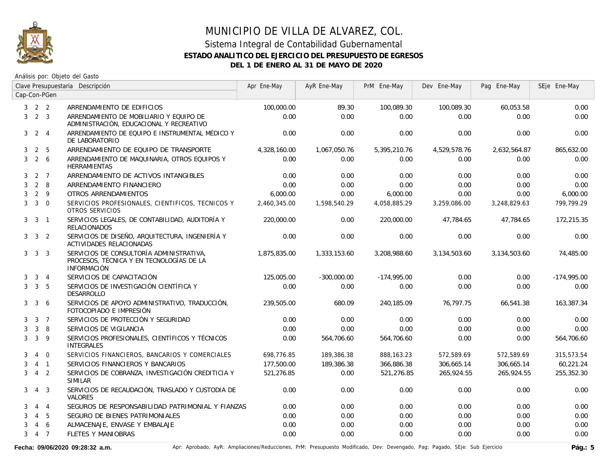

Análisis por: Objeto del Gasto

|   |                     |                  | Clave Presupuestaria Descripción                                                                           | Apr Ene-May  | AyR Ene-May   | PrM Ene-May   | Dev Ene-May  | Pag Ene-May  | SEje Ene-May  |
|---|---------------------|------------------|------------------------------------------------------------------------------------------------------------|--------------|---------------|---------------|--------------|--------------|---------------|
|   |                     | Cap-Con-PGen     |                                                                                                            |              |               |               |              |              |               |
|   | $3 \quad 2 \quad 2$ |                  | ARRENDAMIENTO DE EDIFICIOS                                                                                 | 100,000.00   | 89.30         | 100,089.30    | 100,089.30   | 60,053.58    | 0.00          |
| 3 | 2 <sup>3</sup>      |                  | ARRENDAMIENTO DE MOBILIARIO Y EQUIPO DE<br>ADMINISTRACIÓN, EDUCACIONAL Y RECREATIVO                        | 0.00         | 0.00          | 0.00          | 0.00         | 0.00         | 0.00          |
| 3 |                     | $2 \quad 4$      | ARRENDAMIENTO DE EQUIPO E INSTRUMENTAL MÉDICO Y<br>DE LABORATORIO                                          | 0.00         | 0.00          | 0.00          | 0.00         | 0.00         | 0.00          |
| 3 | $\overline{2}$      | 5                | ARRENDAMIENTO DE EQUIPO DE TRANSPORTE                                                                      | 4,328,160.00 | 1,067,050.76  | 5,395,210.76  | 4,529,578.76 | 2,632,564.87 | 865,632.00    |
| 3 | 2 6                 |                  | ARRENDAMIENTO DE MAQUINARIA, OTROS EQUIPOS Y<br><b>HERRAMIENTAS</b>                                        | 0.00         | 0.00          | 0.00          | 0.00         | 0.00         | 0.00          |
|   | $3 \quad 2 \quad 7$ |                  | ARRENDAMIENTO DE ACTIVOS INTANGIBLES                                                                       | 0.00         | 0.00          | 0.00          | 0.00         | 0.00         | 0.00          |
| 3 |                     | $2 \quad 8$      | ARRENDAMIENTO FINANCIERO                                                                                   | 0.00         | 0.00          | 0.00          | 0.00         | 0.00         | 0.00          |
| 3 | $2 \quad 9$         |                  | OTROS ARRENDAMIENTOS                                                                                       | 6,000.00     | 0.00          | 6,000.00      | 0.00         | 0.00         | 6,000.00      |
| 3 |                     | $3 \quad 0$      | SERVICIOS PROFESIONALES, CIENTIFICOS, TECNICOS Y<br>OTROS SERVICIOS                                        | 2,460,345.00 | 1,598,540.29  | 4,058,885.29  | 3,259,086.00 | 3,248,829.63 | 799,799.29    |
|   | 3 <sup>3</sup>      | $\overline{1}$   | SERVICIOS LEGALES, DE CONTABILIDAD, AUDITORÍA Y<br><b>RELACIONADOS</b>                                     | 220,000.00   | 0.00          | 220,000.00    | 47,784.65    | 47,784.65    | 172,215.35    |
|   | $3 \quad 3 \quad 2$ |                  | SERVICIOS DE DISEÑO, ARQUITECTURA, INGENIERÍA Y<br>ACTIVIDADES RELACIONADAS                                | 0.00         | 0.00          | 0.00          | 0.00         | 0.00         | 0.00          |
|   | $3 \quad 3 \quad 3$ |                  | SERVICIOS DE CONSULTORÍA ADMINISTRATIVA,<br>PROCESOS, TÉCNICA Y EN TECNOLOGÍAS DE LA<br><b>INFORMACIÓN</b> | 1,875,835.00 | 1,333,153.60  | 3,208,988.60  | 3,134,503.60 | 3,134,503.60 | 74,485.00     |
| 3 |                     | $3 \quad 4$      | SERVICIOS DE CAPACITACIÓN                                                                                  | 125,005.00   | $-300,000.00$ | $-174.995.00$ | 0.00         | 0.00         | $-174,995.00$ |
| 3 | 3 <sub>5</sub>      |                  | SERVICIOS DE INVESTIGACIÓN CIENTÍFICA Y<br>DESARROLLO                                                      | 0.00         | 0.00          | 0.00          | 0.00         | 0.00         | 0.00          |
| 3 | $\mathbf{3}$        | 6                | SERVICIOS DE APOYO ADMINISTRATIVO, TRADUCCIÓN,<br>FOTOCOPIADO E IMPRESIÓN                                  | 239,505.00   | 680.09        | 240,185.09    | 76,797.75    | 66,541.38    | 163,387.34    |
| 3 |                     | $3 \overline{7}$ | SERVICIOS DE PROTECCIÓN Y SEGURIDAD                                                                        | 0.00         | 0.00          | 0.00          | 0.00         | 0.00         | 0.00          |
| 3 | $\mathbf{3}$        | 8                | SERVICIOS DE VIGILANCIA                                                                                    | 0.00         | 0.00          | 0.00          | 0.00         | 0.00         | 0.00          |
| 3 | 3                   | 9                | SERVICIOS PROFESIONALES, CIENTÍFICOS Y TÉCNICOS<br><b>INTEGRALES</b>                                       | 0.00         | 564,706.60    | 564,706.60    | 0.00         | 0.00         | 564,706.60    |
| 3 | $\overline{4}$      | $\overline{0}$   | SERVICIOS FINANCIEROS, BANCARIOS Y COMERCIALES                                                             | 698,776.85   | 189,386.38    | 888,163.23    | 572,589.69   | 572,589.69   | 315,573.54    |
| 3 |                     | $4 \quad 1$      | SERVICIOS FINANCIEROS Y BANCARIOS                                                                          | 177,500.00   | 189,386.38    | 366,886.38    | 306,665.14   | 306,665.14   | 60,221.24     |
| 3 |                     | 4 <sup>2</sup>   | SERVICIOS DE COBRANZA, INVESTIGACIÓN CREDITICIA Y<br><b>SIMILAR</b>                                        | 521,276.85   | 0.00          | 521,276.85    | 265,924.55   | 265,924.55   | 255,352.30    |
| 3 |                     | $4 \quad 3$      | SERVICIOS DE RECAUDACIÓN, TRASLADO Y CUSTODIA DE<br><b>VALORES</b>                                         | 0.00         | 0.00          | 0.00          | 0.00         | 0.00         | 0.00          |
| 3 | 4                   | $\overline{4}$   | SEGUROS DE RESPONSABILIDAD PATRIMONIAL Y FIANZAS                                                           | 0.00         | 0.00          | 0.00          | 0.00         | 0.00         | 0.00          |
| 3 | $\overline{4}$      | 5                | SEGURO DE BIENES PATRIMONIALES                                                                             | 0.00         | 0.00          | 0.00          | 0.00         | 0.00         | 0.00          |
| 3 | 4                   | 6                | ALMACENAJE, ENVASE Y EMBALAJE                                                                              | 0.00         | 0.00          | 0.00          | 0.00         | 0.00         | 0.00          |
| 3 | 4 7                 |                  | <b>FLETES Y MANIOBRAS</b>                                                                                  | 0.00         | 0.00          | 0.00          | 0.00         | 0.00         | 0.00          |

Fecha: 09/06/2020 09:28:32 a.m. **Aprical Access** Aprical AyR: Ampliaciones/Reducciones, PrM: Presupuesto Modificado, Dev: Devengado, Pag: Pagado, SEje: Sub Ejercicio Pág.: 5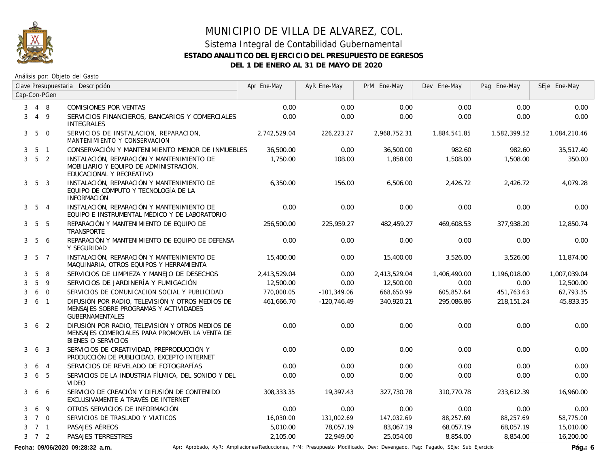

# MUNICIPIO DE VILLA DE ALVAREZ, COL. Sistema Integral de Contabilidad Gubernamental **ESTADO ANALITICO DEL EJERCICIO DEL PRESUPUESTO DE EGRESOS**

**DEL 1 DE ENERO AL 31 DE MAYO DE 2020**

Análisis por: Objeto del Gasto

|                | Clave Presupuestaria Descripción |                 |                                                                                                                          | Apr Ene-May  | AyR Ene-May   | PrM Ene-May  | Dev Ene-May  | Pag Ene-May  | SEje Ene-May |
|----------------|----------------------------------|-----------------|--------------------------------------------------------------------------------------------------------------------------|--------------|---------------|--------------|--------------|--------------|--------------|
|                |                                  | Cap-Con-PGen    |                                                                                                                          |              |               |              |              |              |              |
| 3              | 4 8                              |                 | COMISIONES POR VENTAS                                                                                                    | 0.00         | 0.00          | 0.00         | 0.00         | 0.00         | 0.00         |
| 3              |                                  | $4\overline{9}$ | SERVICIOS FINANCIEROS, BANCARIOS Y COMERCIALES<br><b>INTEGRALES</b>                                                      | 0.00         | 0.00          | 0.00         | 0.00         | 0.00         | 0.00         |
| 3 <sup>7</sup> | $5\overline{)}$                  | $\overline{0}$  | SERVICIOS DE INSTALACION, REPARACION,<br>MANTENIMIENTO Y CONSERVACION                                                    | 2,742,529.04 | 226,223.27    | 2,968,752.31 | 1,884,541.85 | 1,582,399.52 | 1,084,210.46 |
| 3              |                                  | 5 1             | CONSERVACIÓN Y MANTENIMIENTO MENOR DE INMUEBLES                                                                          | 36,500.00    | 0.00          | 36,500.00    | 982.60       | 982.60       | 35,517.40    |
| 3              | 5 <sub>2</sub>                   |                 | INSTALACIÓN, REPARACIÓN Y MANTENIMIENTO DE<br>MOBILIARIO Y EQUIPO DE ADMINISTRACIÓN,<br>EDUCACIONAL Y RECREATIVO         | 1,750.00     | 108.00        | 1,858.00     | 1,508.00     | 1,508.00     | 350.00       |
|                | $3\quad 5\quad 3$                |                 | INSTALACIÓN, REPARACIÓN Y MANTENIMIENTO DE<br>EQUIPO DE CÓMPUTO Y TECNOLOGÍA DE LA<br><b>INFORMACIÓN</b>                 | 6,350.00     | 156.00        | 6,506.00     | 2,426.72     | 2,426.72     | 4,079.28     |
|                | $3\quad 5\quad 4$                |                 | INSTALACIÓN, REPARACIÓN Y MANTENIMIENTO DE<br>EQUIPO E INSTRUMENTAL MÉDICO Y DE LABORATORIO                              | 0.00         | 0.00          | 0.00         | 0.00         | 0.00         | 0.00         |
|                | $3\quad 5\quad 5$                |                 | REPARACIÓN Y MANTENIMIENTO DE EQUIPO DE<br>TRANSPORTE                                                                    | 256,500.00   | 225,959.27    | 482,459.27   | 469,608.53   | 377,938.20   | 12,850.74    |
|                | $3\quad 5$                       | 6               | REPARACIÓN Y MANTENIMIENTO DE EQUIPO DE DEFENSA<br>Y SEGURIDAD                                                           | 0.00         | 0.00          | 0.00         | 0.00         | 0.00         | 0.00         |
|                | $3\quad 5\quad 7$                |                 | INSTALACIÓN, REPARACIÓN Y MANTENIMIENTO DE<br>MAQUINARIA, OTROS EQUIPOS Y HERRAMIENTA                                    | 15,400.00    | 0.00          | 15,400.00    | 3,526.00     | 3,526.00     | 11,874.00    |
| 3              | 5                                | 8               | SERVICIOS DE LIMPIEZA Y MANEJO DE DESECHOS                                                                               | 2,413,529.04 | 0.00          | 2,413,529.04 | 1,406,490.00 | 1,196,018.00 | 1,007,039.04 |
| 3              | 5                                | 9               | SERVICIOS DE JARDINERÍA Y FUMIGACIÓN                                                                                     | 12,500.00    | 0.00          | 12,500.00    | 0.00         | 0.00         | 12,500.00    |
| 3              | 6                                | $\overline{0}$  | SERVICIOS DE COMUNICACION SOCIAL Y PUBLICIDAD                                                                            | 770,000.05   | $-101,349.06$ | 668,650.99   | 605,857.64   | 451,763.63   | 62,793.35    |
| 3              | 6 <sub>1</sub>                   |                 | DIFUSIÓN POR RADIO, TELEVISIÓN Y OTROS MEDIOS DE<br>MENSAJES SOBRE PROGRAMAS Y ACTIVIDADES<br><b>GUBERNAMENTALES</b>     | 461,666.70   | $-120,746.49$ | 340,920.21   | 295,086.86   | 218,151.24   | 45,833.35    |
| $\mathbf{3}$   | 6 <sub>2</sub>                   |                 | DIFUSIÓN POR RADIO. TELEVISIÓN Y OTROS MEDIOS DE<br>MENSAJES COMERCIALES PARA PROMOVER LA VENTA DE<br>BIENES O SERVICIOS | 0.00         | 0.00          | 0.00         | 0.00         | 0.00         | 0.00         |
| 3              | 6 <sub>3</sub>                   |                 | SERVICIOS DE CREATIVIDAD, PREPRODUCCIÓN Y<br>PRODUCCIÓN DE PUBLICIDAD, EXCEPTO INTERNET                                  | 0.00         | 0.00          | 0.00         | 0.00         | 0.00         | 0.00         |
| 3              | 6                                | $\overline{4}$  | SERVICIOS DE REVELADO DE FOTOGRAFÍAS                                                                                     | 0.00         | 0.00          | 0.00         | 0.00         | 0.00         | 0.00         |
| 3              | 6                                | 5               | SERVICIOS DE LA INDUSTRIA FÍLMICA, DEL SONIDO Y DEL<br><b>VIDEO</b>                                                      | 0.00         | 0.00          | 0.00         | 0.00         | 0.00         | 0.00         |
| 3              | 6                                | 6               | SERVICIO DE CREACIÓN Y DIFUSIÓN DE CONTENIDO<br>EXCLUSIVAMENTE A TRAVÉS DE INTERNET                                      | 308,333.35   | 19,397.43     | 327,730.78   | 310,770.78   | 233,612.39   | 16,960.00    |
| 3              | 6                                | 9               | OTROS SERVICIOS DE INFORMACIÓN                                                                                           | 0.00         | 0.00          | 0.00         | 0.00         | 0.00         | 0.00         |
| 3              | $7\quad$ 0                       |                 | SERVICIOS DE TRASLADO Y VIATICOS                                                                                         | 16,030.00    | 131,002.69    | 147,032.69   | 88,257.69    | 88,257.69    | 58,775.00    |
| 3              | 7 1                              |                 | PASAJES AÉREOS                                                                                                           | 5,010.00     | 78,057.19     | 83,067.19    | 68,057.19    | 68,057.19    | 15,010.00    |
|                | $3 \quad 7 \quad 2$              |                 | PASAJES TERRESTRES                                                                                                       | 2,105.00     | 22,949.00     | 25,054.00    | 8,854.00     | 8,854.00     | 16,200.00    |

Fecha: 09/06/2020 09:28:32 a.m. **Aprical Aprical Agelia AyR:** Ampliaciones/Reducciones, PrM: Presupuesto Modificado, Dev: Devengado, Pag: Pagado, SEje: Sub Ejercicio **Pág.: 6**<br>Pág.: 6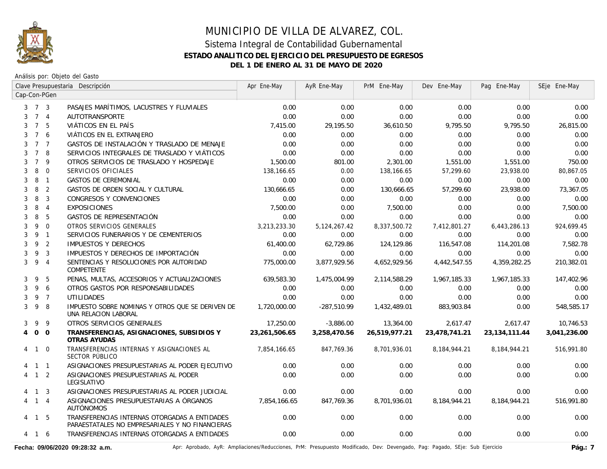

Análisis por: Objeto del Gasto

|                |                     |                | Clave Presupuestaria Descripción                                                                 | Apr Ene-May   | AyR Ene-May     | PrM Ene-May   | Dev Ene-May   | Pag Ene-May   | SEje Ene-May |
|----------------|---------------------|----------------|--------------------------------------------------------------------------------------------------|---------------|-----------------|---------------|---------------|---------------|--------------|
|                |                     | Cap-Con-PGen   |                                                                                                  |               |                 |               |               |               |              |
|                | $3 \quad 7 \quad 3$ |                | PASAJES MARÍTIMOS, LACUSTRES Y FLUVIALES                                                         | 0.00          | 0.00            | 0.00          | 0.00          | 0.00          | 0.00         |
|                | 7 4                 |                | <b>AUTOTRANSPORTE</b>                                                                            | 0.00          | 0.00            | 0.00          | 0.00          | 0.00          | 0.00         |
| 3              | $7^{\circ}$         | - 5            | VIÁTICOS EN EL PAÍS                                                                              | 7,415.00      | 29,195.50       | 36,610.50     | 9,795.50      | 9,795.50      | 26,815.00    |
| 3              | $7^{\circ}$         | 6              | VIÁTICOS EN EL EXTRANJERO                                                                        | 0.00          | 0.00            | 0.00          | 0.00          | 0.00          | 0.00         |
| 3              | 7 <sub>7</sub>      |                | GASTOS DE INSTALACIÓN Y TRASLADO DE MENAJE                                                       | 0.00          | 0.00            | 0.00          | 0.00          | 0.00          | 0.00         |
| 3              | $7^{\circ}$         | -8             | SERVICIOS INTEGRALES DE TRASLADO Y VIÁTICOS                                                      | 0.00          | 0.00            | 0.00          | 0.00          | 0.00          | 0.00         |
| 3              | $\overline{7}$      | 9              | OTROS SERVICIOS DE TRASLADO Y HOSPEDAJE                                                          | 1,500.00      | 801.00          | 2,301.00      | 1,551.00      | 1,551.00      | 750.00       |
| 3              | 8                   | $\mathbf 0$    | SERVICIOS OFICIALES                                                                              | 138,166.65    | 0.00            | 138,166.65    | 57,299.60     | 23,938.00     | 80,867.05    |
| 3              | 8                   | $\overline{1}$ | <b>GASTOS DE CEREMONIAL</b>                                                                      | 0.00          | 0.00            | 0.00          | 0.00          | 0.00          | 0.00         |
| 3              | 8                   | $\overline{2}$ | GASTOS DE ORDEN SOCIAL Y CULTURAL                                                                | 130,666.65    | 0.00            | 130,666.65    | 57,299.60     | 23,938.00     | 73,367.05    |
| 3              | 8                   | $\overline{3}$ | CONGRESOS Y CONVENCIONES                                                                         | 0.00          | 0.00            | 0.00          | 0.00          | 0.00          | 0.00         |
| 3              | 8                   | $\overline{4}$ | <b>EXPOSICIONES</b>                                                                              | 7,500.00      | 0.00            | 7,500.00      | 0.00          | 0.00          | 7,500.00     |
| 3              | 8                   | 5              | GASTOS DE REPRESENTACIÓN                                                                         | 0.00          | 0.00            | 0.00          | 0.00          | 0.00          | 0.00         |
| 3              | 9                   | $\overline{0}$ | OTROS SERVICIOS GENERALES                                                                        | 3,213,233.30  | 5, 124, 267. 42 | 8,337,500.72  | 7,412,801.27  | 6,443,286.13  | 924,699.45   |
| 3              | 9 1                 |                | SERVICIOS FUNERARIOS Y DE CEMENTERIOS                                                            | 0.00          | 0.00            | 0.00          | 0.00          | 0.00          | 0.00         |
| 3              | 9                   | $\overline{2}$ | IMPUESTOS Y DERECHOS                                                                             | 61,400.00     | 62,729.86       | 124,129.86    | 116,547.08    | 114,201.08    | 7,582.78     |
| 3              | 9                   | $\overline{3}$ | IMPUESTOS Y DERECHOS DE IMPORTACIÓN                                                              | 0.00          | 0.00            | 0.00          | 0.00          | 0.00          | 0.00         |
| 3              | 9                   | $\overline{4}$ | SENTENCIAS Y RESOLUCIONES POR AUTORIDAD<br><b>COMPETENTE</b>                                     | 775,000.00    | 3,877,929.56    | 4,652,929.56  | 4,442,547.55  | 4,359,282.25  | 210,382.01   |
| 3              | 9                   | 5              | PENAS, MULTAS, ACCESORIOS Y ACTUALIZACIONES                                                      | 639,583.30    | 1,475,004.99    | 2,114,588.29  | 1,967,185.33  | 1,967,185.33  | 147,402.96   |
| 3              | 9                   | 6              | OTROS GASTOS POR RESPONSABILIDADES                                                               | 0.00          | 0.00            | 0.00          | 0.00          | 0.00          | 0.00         |
| 3              |                     | 9 7            | <b>UTILIDADES</b>                                                                                | 0.00          | 0.00            | 0.00          | 0.00          | 0.00          | 0.00         |
| 3              | 9                   | -8             | IMPUESTO SOBRE NOMINAS Y OTROS QUE SE DERIVEN DE<br>UNA RELACION LABORAL                         | 1,720,000.00  | $-287,510.99$   | 1,432,489.01  | 883,903.84    | 0.00          | 548,585.17   |
| 3              | 9                   | 9              | OTROS SERVICIOS GENERALES                                                                        | 17,250.00     | $-3,886.00$     | 13,364.00     | 2,617.47      | 2,617.47      | 10,746.53    |
| $\overline{4}$ | $0\quad 0$          |                | TRANSFERENCIAS, ASIGNACIONES, SUBSIDIOS Y<br>OTRAS AYUDAS                                        | 23,261,506.65 | 3,258,470.56    | 26,519,977.21 | 23,478,741.21 | 23,134,111.44 | 3,041,236.00 |
|                | 4 1 0               |                | TRANSFERENCIAS INTERNAS Y ASIGNACIONES AL<br>SECTOR PÚBLICO                                      | 7,854,166.65  | 847,769.36      | 8,701,936.01  | 8,184,944.21  | 8,184,944.21  | 516,991.80   |
|                | $1 \quad 1$         |                | ASIGNACIONES PRESUPUESTARIAS AL PODER EJECUTIVO                                                  | 0.00          | 0.00            | 0.00          | 0.00          | 0.00          | 0.00         |
|                | $1\quad 2$          |                | ASIGNACIONES PRESUPUESTARIAS AL PODER<br>LEGISLATIVO                                             | 0.00          | 0.00            | 0.00          | 0.00          | 0.00          | 0.00         |
|                | 4 1 3               |                | ASIGNACIONES PRESUPUESTARIAS AL PODER JUDICIAL                                                   | 0.00          | 0.00            | 0.00          | 0.00          | 0.00          | 0.00         |
|                | 4 1 4               |                | ASIGNACIONES PRESUPUESTARIAS A ÓRGANOS<br><b>AUTÓNOMOS</b>                                       | 7,854,166.65  | 847,769.36      | 8,701,936.01  | 8,184,944.21  | 8,184,944.21  | 516,991.80   |
|                | 4 1 5               |                | TRANSFERENCIAS INTERNAS OTORGADAS A ENTIDADES<br>PARAESTATALES NO EMPRESARIALES Y NO FINANCIERAS | 0.00          | 0.00            | 0.00          | 0.00          | 0.00          | 0.00         |
|                | 4 1 6               |                | TRANSFERENCIAS INTERNAS OTORGADAS A ENTIDADES                                                    | 0.00          | 0.00            | 0.00          | 0.00          | 0.00          | 0.00         |

Fecha: 09/06/2020 09:28:32 a.m. <br>Pág.: 7 Aprobado, AyR: Ampliaciones/Reducciones, PrM: Presupuesto Modificado, Dev: Devengado, Pag: Pagado, SEje: Sub Ejercicio Pág.: 7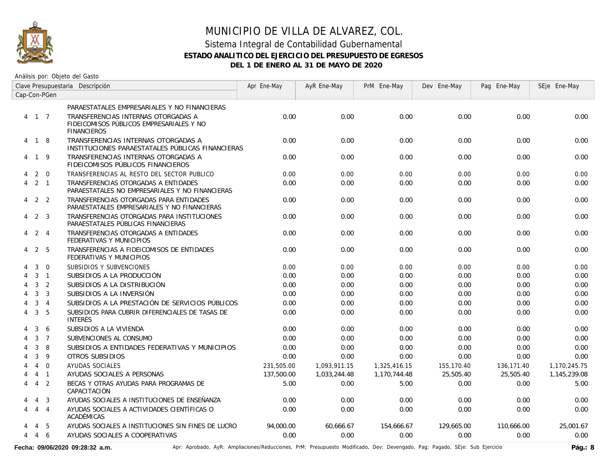

Análisis por: Objeto del Gasto

|   |                     |                | Clave Presupuestaria Descripción                                                                      | Apr Ene-May | AyR Ene-May  | PrM Ene-May  | Dev Ene-May | Pag Ene-May | SEje Ene-May |
|---|---------------------|----------------|-------------------------------------------------------------------------------------------------------|-------------|--------------|--------------|-------------|-------------|--------------|
|   |                     | Cap-Con-PGen   |                                                                                                       |             |              |              |             |             |              |
|   |                     |                | PARAESTATALES EMPRESARIALES Y NO FINANCIERAS                                                          |             |              |              |             |             |              |
|   | 4 1 7               |                | TRANSFERENCIAS INTERNAS OTORGADAS A<br>FIDEICOMISOS PÚBLICOS EMPRESARIALES Y NO<br><b>FINANCIEROS</b> | 0.00        | 0.00         | 0.00         | 0.00        | 0.00        | 0.00         |
|   | 4 1 8               |                | TRANSFERENCIAS INTERNAS OTORGADAS A<br>INSTITUCIONES PARAESTATALES PÚBLICAS FINANCIERAS               | 0.00        | 0.00         | 0.00         | 0.00        | 0.00        | 0.00         |
| 4 | 19                  |                | TRANSFERENCIAS INTERNAS OTORGADAS A<br>FIDEICOMISOS PÚBLICOS FINANCIEROS                              | 0.00        | 0.00         | 0.00         | 0.00        | 0.00        | 0.00         |
| 4 |                     | $2 \quad 0$    | TRANSFERENCIAS AL RESTO DEL SECTOR PUBLICO                                                            | 0.00        | 0.00         | 0.00         | 0.00        | 0.00        | 0.00         |
| 4 | $2 \quad 1$         |                | TRANSFERENCIAS OTORGADAS A ENTIDADES<br>PARAESTATALES NO EMPRESARIALES Y NO FINANCIERAS               | 0.00        | 0.00         | 0.00         | 0.00        | 0.00        | 0.00         |
|   | $4\quad 2\quad 2$   |                | TRANSFERENCIAS OTORGADAS PARA ENTIDADES<br>PARAESTATALES EMPRESARIALES Y NO FINANCIERAS               | 0.00        | 0.00         | 0.00         | 0.00        | 0.00        | 0.00         |
| 4 |                     | 2 3            | TRANSFERENCIAS OTORGADAS PARA INSTITUCIONES<br>PARAESTATALES PÚBLICAS FINANCIERAS                     | 0.00        | 0.00         | 0.00         | 0.00        | 0.00        | 0.00         |
|   | $4 \quad 2 \quad 4$ |                | TRANSFERENCIAS OTORGADAS A ENTIDADES<br>FEDERATIVAS Y MUNICIPIOS                                      | 0.00        | 0.00         | 0.00         | 0.00        | 0.00        | 0.00         |
| 4 | 2                   | - 5            | TRANSFERENCIAS A FIDEICOMISOS DE ENTIDADES<br>FEDERATIVAS Y MUNICIPIOS                                | 0.00        | 0.00         | 0.00         | 0.00        | 0.00        | 0.00         |
|   | 3                   | $\Omega$       | SUBSIDIOS Y SUBVENCIONES                                                                              | 0.00        | 0.00         | 0.00         | 0.00        | 0.00        | 0.00         |
|   | 3                   | $\overline{1}$ | SUBSIDIOS A LA PRODUCCIÓN                                                                             | 0.00        | 0.00         | 0.00         | 0.00        | 0.00        | 0.00         |
| 4 | $\mathbf{3}$        | 2              | SUBSIDIOS A LA DISTRIBUCIÓN                                                                           | 0.00        | 0.00         | 0.00         | 0.00        | 0.00        | 0.00         |
| 4 | 3                   | $\overline{3}$ | SUBSIDIOS A LA INVERSIÓN                                                                              | 0.00        | 0.00         | 0.00         | 0.00        | 0.00        | 0.00         |
|   | 3                   | $\overline{4}$ | SUBSIDIOS A LA PRESTACIÓN DE SERVICIOS PÚBLICOS                                                       | 0.00        | 0.00         | 0.00         | 0.00        | 0.00        | 0.00         |
| 4 | 3                   | 5              | SUBSIDIOS PARA CUBRIR DIFERENCIALES DE TASAS DE<br><b>INTERÉS</b>                                     | 0.00        | 0.00         | 0.00         | 0.00        | 0.00        | 0.00         |
|   | 3                   | 6              | SUBSIDIOS A LA VIVIENDA                                                                               | 0.00        | 0.00         | 0.00         | 0.00        | 0.00        | 0.00         |
|   | 3                   | $\overline{7}$ | SUBVENCIONES AL CONSUMO                                                                               | 0.00        | 0.00         | 0.00         | 0.00        | 0.00        | 0.00         |
|   | 3                   | 8              | SUBSIDIOS A ENTIDADES FEDERATIVAS Y MUNICIPIOS                                                        | 0.00        | 0.00         | 0.00         | 0.00        | 0.00        | 0.00         |
|   | 3                   | 9              | OTROS SUBSIDIOS                                                                                       | 0.00        | 0.00         | 0.00         | 0.00        | 0.00        | 0.00         |
|   | $\overline{4}$      | $\Omega$       | AYUDAS SOCIALES                                                                                       | 231,505.00  | 1.093.911.15 | 1,325,416.15 | 155,170.40  | 136,171.40  | 1,170,245.75 |
|   |                     | $4 \quad 1$    | AYUDAS SOCIALES A PERSONAS                                                                            | 137,500.00  | 1,033,244.48 | 1,170,744.48 | 25,505.40   | 25,505.40   | 1,145,239.08 |
| 4 | $\overline{4}$      | $\overline{2}$ | BECAS Y OTRAS AYUDAS PARA PROGRAMAS DE<br>CAPACITACIÓN                                                | 5.00        | 0.00         | 5.00         | 0.00        | 0.00        | 5.00         |
|   | 4                   | $\overline{3}$ | AYUDAS SOCIALES A INSTITUCIONES DE ENSEÑANZA                                                          | 0.00        | 0.00         | 0.00         | 0.00        | 0.00        | 0.00         |
| 4 |                     | 4 4            | AYUDAS SOCIALES A ACTIVIDADES CIENTÍFICAS O<br>ACADÉMICAS                                             | 0.00        | 0.00         | 0.00         | 0.00        | 0.00        | 0.00         |
|   | 4                   | -5             | AYUDAS SOCIALES A INSTITUCIONES SIN FINES DE LUCRO                                                    | 94,000.00   | 60,666.67    | 154.666.67   | 129,665.00  | 110.666.00  | 25.001.67    |
| 4 | 4 6                 |                | AYUDAS SOCIALES A COOPERATIVAS                                                                        | 0.00        | 0.00         | 0.00         | 0.00        | 0.00        | 0.00         |

Fecha: 09/06/2020 09:28:32 a.m. **Aprichationes/Reducciones, PrM: Presupuesto Modificado**, Dev: Devengado, Pag: Pagado, SEje: Sub Ejercicio Pág.: 8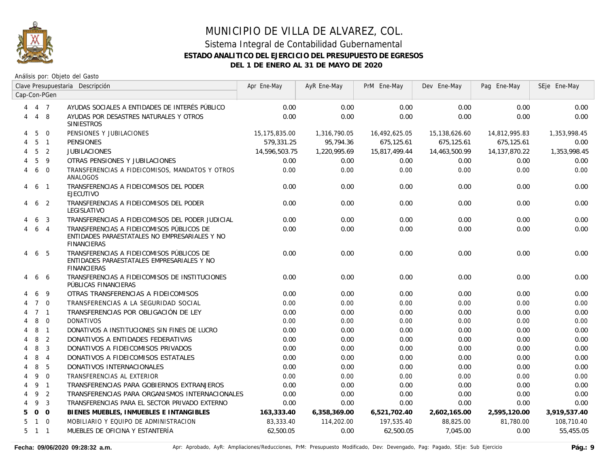

|                | Clave Presupuestaria Descripción |                | Apr Ene-May                                                                                                      | AyR Ene-May   | PrM Ene-May  | Dev Ene-May   | Pag Ene-May   | SEje Ene-May     |              |
|----------------|----------------------------------|----------------|------------------------------------------------------------------------------------------------------------------|---------------|--------------|---------------|---------------|------------------|--------------|
|                |                                  | Cap-Con-PGen   |                                                                                                                  |               |              |               |               |                  |              |
|                | 4 7                              |                | AYUDAS SOCIALES A ENTIDADES DE INTERÉS PÚBLICO                                                                   | 0.00          | 0.00         | 0.00          | 0.00          | 0.00             | 0.00         |
| 4              |                                  | 4 8            | AYUDAS POR DESASTRES NATURALES Y OTROS<br><b>SINIESTROS</b>                                                      | 0.00          | 0.00         | 0.00          | 0.00          | 0.00             | 0.00         |
| 4              | -5                               | $\Omega$       | PENSIONES Y JUBILACIONES                                                                                         | 15,175,835.00 | 1,316,790.05 | 16,492,625.05 | 15,138,626.60 | 14,812,995.83    | 1,353,998.45 |
| 4              | 5                                | $\overline{1}$ | <b>PENSIONES</b>                                                                                                 | 579.331.25    | 95,794.36    | 675,125.61    | 675.125.61    | 675.125.61       | 0.00         |
| $\overline{4}$ | 5                                | $\overline{2}$ | <b>JUBILACIONES</b>                                                                                              | 14,596,503.75 | 1,220,995.69 | 15,817,499.44 | 14,463,500.99 | 14, 137, 870. 22 | 1,353,998.45 |
|                | 5                                | 9              | OTRAS PENSIONES Y JUBILACIONES                                                                                   | 0.00          | 0.00         | 0.00          | 0.00          | 0.00             | 0.00         |
| 4              | 6                                | $\Omega$       | TRANSFERENCIAS A FIDEICOMISOS, MANDATOS Y OTROS<br>ANALOGOS                                                      | 0.00          | 0.00         | 0.00          | 0.00          | 0.00             | 0.00         |
| 4              | 6                                | $\overline{1}$ | TRANSFERENCIAS A FIDEICOMISOS DEL PODER<br><b>EJECUTIVO</b>                                                      | 0.00          | 0.00         | 0.00          | 0.00          | 0.00             | 0.00         |
| 4              | 6                                | $\overline{2}$ | TRANSFERENCIAS A FIDEICOMISOS DEL PODER<br>LEGISLATIVO                                                           | 0.00          | 0.00         | 0.00          | 0.00          | 0.00             | 0.00         |
|                | 6                                | 3              | TRANSFERENCIAS A FIDEICOMISOS DEL PODER JUDICIAL                                                                 | 0.00          | 0.00         | 0.00          | 0.00          | 0.00             | 0.00         |
|                | 6                                | $\overline{4}$ | TRANSFERENCIAS A FIDEICOMISOS PÚBLICOS DE<br>ENTIDADES PARAESTATALES NO EMPRESARIALES Y NO<br><b>FINANCIERAS</b> | 0.00          | 0.00         | 0.00          | 0.00          | 0.00             | 0.00         |
| 4              |                                  | 6 5            | TRANSFERENCIAS A FIDEICOMISOS PÚBLICOS DE<br>ENTIDADES PARAESTATALES EMPRESARIALES Y NO<br><b>FINANCIERAS</b>    | 0.00          | 0.00         | 0.00          | 0.00          | 0.00             | 0.00         |
|                | 6                                | -6             | TRANSFERENCIAS A FIDEICOMISOS DE INSTITUCIONES<br>PÚBLICAS FINANCIERAS                                           | 0.00          | 0.00         | 0.00          | 0.00          | 0.00             | 0.00         |
|                | 6                                | -9             | OTRAS TRANSFERENCIAS A FIDEICOMISOS                                                                              | 0.00          | 0.00         | 0.00          | 0.00          | 0.00             | 0.00         |
|                |                                  | $7\quad$ 0     | TRANSFERENCIAS A LA SEGURIDAD SOCIAL                                                                             | 0.00          | 0.00         | 0.00          | 0.00          | 0.00             | 0.00         |
|                |                                  | 7 <sub>1</sub> | TRANSFERENCIAS POR OBLIGACIÓN DE LEY                                                                             | 0.00          | 0.00         | 0.00          | 0.00          | 0.00             | 0.00         |
|                | 8                                | $\mathbf 0$    | <b>DONATIVOS</b>                                                                                                 | 0.00          | 0.00         | 0.00          | 0.00          | 0.00             | 0.00         |
|                | 8                                | $\overline{1}$ | DONATIVOS A INSTITUCIONES SIN FINES DE LUCRO                                                                     | 0.00          | 0.00         | 0.00          | 0.00          | 0.00             | 0.00         |
| 4              | 8                                | $\overline{2}$ | DONATIVOS A ENTIDADES FEDERATIVAS                                                                                | 0.00          | 0.00         | 0.00          | 0.00          | 0.00             | 0.00         |
| 4              | 8                                | $\mathbf{3}$   | DONATIVOS A FIDEICOMISOS PRIVADOS                                                                                | 0.00          | 0.00         | 0.00          | 0.00          | 0.00             | 0.00         |
| 4              | 8                                | $\overline{4}$ | DONATIVOS A FIDEICOMISOS ESTATALES                                                                               | 0.00          | 0.00         | 0.00          | 0.00          | 0.00             | 0.00         |
| 4              | 8                                | 5              | DONATIVOS INTERNACIONALES                                                                                        | 0.00          | 0.00         | 0.00          | 0.00          | 0.00             | 0.00         |
| 4              | 9                                | $\Omega$       | TRANSFERENCIAS AL EXTERIOR                                                                                       | 0.00          | 0.00         | 0.00          | 0.00          | 0.00             | 0.00         |
| 4              | 9 1                              |                | TRANSFERENCIAS PARA GOBIERNOS EXTRANJEROS                                                                        | 0.00          | 0.00         | 0.00          | 0.00          | 0.00             | 0.00         |
| 4              | 9                                | $\overline{2}$ | TRANSFERENCIAS PARA ORGANISMOS INTERNACIONALES                                                                   | 0.00          | 0.00         | 0.00          | 0.00          | 0.00             | 0.00         |
| 4              | 9                                | $\overline{3}$ | TRANSFERENCIAS PARA EL SECTOR PRIVADO EXTERNO                                                                    | 0.00          | 0.00         | 0.00          | 0.00          | 0.00             | 0.00         |
| 5.             |                                  | $0\quad 0$     | BIENES MUEBLES, INMUEBLES E INTANGIBLES                                                                          | 163,333.40    | 6,358,369.00 | 6,521,702.40  | 2,602,165.00  | 2,595,120.00     | 3,919,537.40 |
| 5              |                                  | $1 \quad 0$    | MOBILIARIO Y EQUIPO DE ADMINISTRACION                                                                            | 83,333.40     | 114,202.00   | 197,535.40    | 88,825.00     | 81,780.00        | 108,710.40   |
| 5              | $1 \quad 1$                      |                | MUEBLES DE OFICINA Y ESTANTERÍA                                                                                  | 62,500.05     | 0.00         | 62,500.05     | 7,045.00      | 0.00             | 55,455.05    |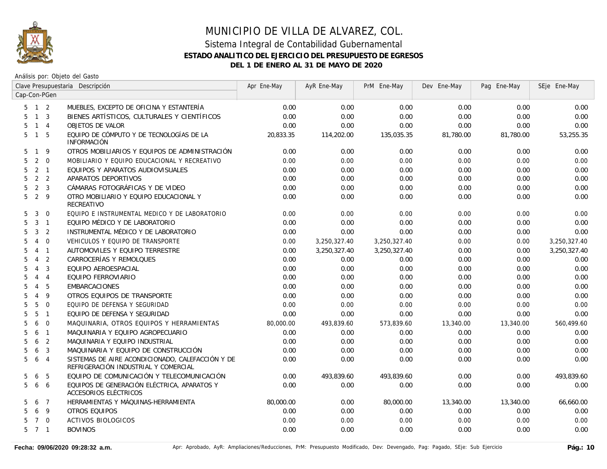

|                     |                |                          | Clave Presupuestaria Descripción                                                         | Apr Ene-May | AyR Ene-May  | PrM Ene-May  | Dev Ene-May | Pag Ene-May | SEje Ene-May |
|---------------------|----------------|--------------------------|------------------------------------------------------------------------------------------|-------------|--------------|--------------|-------------|-------------|--------------|
| Cap-Con-PGen        |                |                          |                                                                                          |             |              |              |             |             |              |
| $5 \quad 1 \quad 2$ |                |                          | MUEBLES, EXCEPTO DE OFICINA Y ESTANTERÍA                                                 | 0.00        | 0.00         | 0.00         | 0.00        | 0.00        | 0.00         |
| 5.                  |                | $1 \quad 3$              | BIENES ARTÍSTICOS, CULTURALES Y CIENTÍFICOS                                              | 0.00        | 0.00         | 0.00         | 0.00        | 0.00        | 0.00         |
| 5                   | $1 \quad 4$    |                          | <b>OBJETOS DE VALOR</b>                                                                  | 0.00        | 0.00         | 0.00         | 0.00        | 0.00        | 0.00         |
| 5                   | $\mathbf{1}$   | 5                        | EQUIPO DE CÓMPUTO Y DE TECNOLOGÍAS DE LA<br><b>INFORMACIÓN</b>                           | 20,833.35   | 114,202.00   | 135,035.35   | 81,780.00   | 81,780.00   | 53,255.35    |
| 5                   | $\mathbf{1}$   | 9                        | OTROS MOBILIARIOS Y EQUIPOS DE ADMINISTRACIÓN                                            | 0.00        | 0.00         | 0.00         | 0.00        | 0.00        | 0.00         |
| 5                   | 2              | $\overline{0}$           | MOBILIARIO Y EQUIPO EDUCACIONAL Y RECREATIVO                                             | 0.00        | 0.00         | 0.00         | 0.00        | 0.00        | 0.00         |
| 5                   | $\overline{2}$ | $\overline{1}$           | EQUIPOS Y APARATOS AUDIOVISUALES                                                         | 0.00        | 0.00         | 0.00         | 0.00        | 0.00        | 0.00         |
| 5                   |                | 2 <sub>2</sub>           | APARATOS DEPORTIVOS                                                                      | 0.00        | 0.00         | 0.00         | 0.00        | 0.00        | 0.00         |
| 5                   |                | 2 <sup>3</sup>           | CÁMARAS FOTOGRÁFICAS Y DE VIDEO                                                          | 0.00        | 0.00         | 0.00         | 0.00        | 0.00        | 0.00         |
| 5                   | $\overline{2}$ | 9                        | OTRO MOBILIARIO Y EQUIPO EDUCACIONAL Y<br>RECREATIVO                                     | 0.00        | 0.00         | 0.00         | 0.00        | 0.00        | 0.00         |
| 5                   | 3              | $\overline{0}$           | EQUIPO E INSTRUMENTAL MEDICO Y DE LABORATORIO                                            | 0.00        | 0.00         | 0.00         | 0.00        | 0.00        | 0.00         |
| 5                   | 3              | $\overline{\phantom{0}}$ | EQUIPO MÉDICO Y DE LABORATORIO                                                           | 0.00        | 0.00         | 0.00         | 0.00        | 0.00        | 0.00         |
| 5                   | 3              | 2                        | INSTRUMENTAL MÉDICO Y DE LABORATORIO                                                     | 0.00        | 0.00         | 0.00         | 0.00        | 0.00        | 0.00         |
| 5                   | $\overline{4}$ | $\mathbf 0$              | VEHICULOS Y EQUIPO DE TRANSPORTE                                                         | 0.00        | 3,250,327.40 | 3,250,327.40 | 0.00        | 0.00        | 3,250,327.40 |
| 5                   | $\overline{4}$ | $\overline{1}$           | AUTOMOVILES Y EQUIPO TERRESTRE                                                           | 0.00        | 3,250,327.40 | 3,250,327.40 | 0.00        | 0.00        | 3,250,327.40 |
| 5                   | $\overline{4}$ | 2                        | CARROCERÍAS Y REMOLQUES                                                                  | 0.00        | 0.00         | 0.00         | 0.00        | 0.00        | 0.00         |
| 5                   | $\overline{4}$ | 3                        | EQUIPO AEROESPACIAL                                                                      | 0.00        | 0.00         | 0.00         | 0.00        | 0.00        | 0.00         |
| 5                   | $\overline{4}$ | $\overline{4}$           | EQUIPO FERROVIARIO                                                                       | 0.00        | 0.00         | 0.00         | 0.00        | 0.00        | 0.00         |
| 5                   | $\overline{4}$ | 5                        | <b>EMBARCACIONES</b>                                                                     | 0.00        | 0.00         | 0.00         | 0.00        | 0.00        | 0.00         |
| 5                   | $\overline{4}$ | 9                        | OTROS EQUIPOS DE TRANSPORTE                                                              | 0.00        | 0.00         | 0.00         | 0.00        | 0.00        | 0.00         |
| 5                   | 5              | $\Omega$                 | EQUIPO DE DEFENSA Y SEGURIDAD                                                            | 0.00        | 0.00         | 0.00         | 0.00        | 0.00        | 0.00         |
| 5                   | 5              | $\overline{1}$           | EQUIPO DE DEFENSA Y SEGURIDAD                                                            | 0.00        | 0.00         | 0.00         | 0.00        | 0.00        | 0.00         |
| 5                   | 6              | $\mathbf 0$              | MAQUINARIA, OTROS EQUIPOS Y HERRAMIENTAS                                                 | 80,000.00   | 493,839.60   | 573,839.60   | 13,340.00   | 13,340.00   | 560,499.60   |
| 5                   | 6              | $\overline{1}$           | MAQUINARIA Y EQUIPO AGROPECUARIO                                                         | 0.00        | 0.00         | 0.00         | 0.00        | 0.00        | 0.00         |
| 5                   | 6              | $\overline{2}$           | MAQUINARIA Y EQUIPO INDUSTRIAL                                                           | 0.00        | 0.00         | 0.00         | 0.00        | 0.00        | 0.00         |
| 5                   | 6              | 3                        | MAQUINARIA Y EQUIPO DE CONSTRUCCIÓN                                                      | 0.00        | 0.00         | 0.00         | 0.00        | 0.00        | 0.00         |
| 5                   | 6              | $\overline{4}$           | SISTEMAS DE AIRE ACONDICIONADO, CALEFACCIÓN Y DE<br>REFRIGERACIÓN INDUSTRIAL Y COMERCIAL | 0.00        | 0.00         | 0.00         | 0.00        | 0.00        | 0.00         |
| 5                   | 6              | 5                        | EQUIPO DE COMUNICACIÓN Y TELECOMUNICACIÓN                                                | 0.00        | 493,839.60   | 493,839.60   | 0.00        | 0.00        | 493,839.60   |
| 5                   | 6              | 6                        | EQUIPOS DE GENERACIÓN ELÉCTRICA, APARATOS Y<br>ACCESORIOS ELÉCTRICOS                     | 0.00        | 0.00         | 0.00         | 0.00        | 0.00        | 0.00         |
| 5                   | 6              | $\overline{7}$           | HERRAMIENTAS Y MÁQUINAS-HERRAMIENTA                                                      | 80,000.00   | 0.00         | 80,000.00    | 13,340.00   | 13,340.00   | 66,660.00    |
| 5                   | 6              | 9                        | OTROS EQUIPOS                                                                            | 0.00        | 0.00         | 0.00         | 0.00        | 0.00        | 0.00         |
| 5                   | $\overline{7}$ | $\overline{0}$           | <b>ACTIVOS BIOLOGICOS</b>                                                                | 0.00        | 0.00         | 0.00         | 0.00        | 0.00        | 0.00         |
| 5 7 1               |                |                          | <b>BOVINOS</b>                                                                           | 0.00        | 0.00         | 0.00         | 0.00        | 0.00        | 0.00         |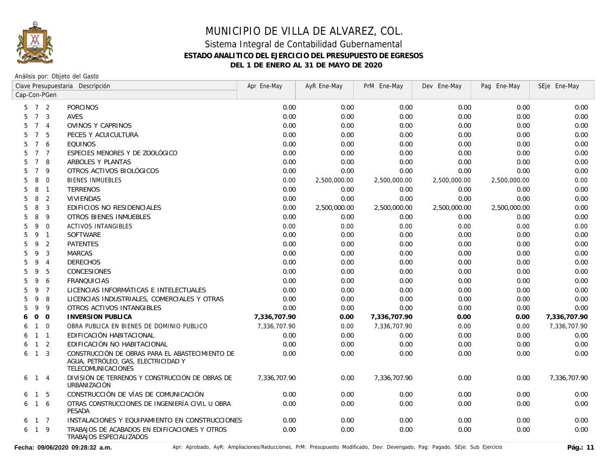

Análisis por: Objeto del Gasto

|                      | Clave Presupuestaria Descripción |                | Apr Ene-May                                                                                                  | AyR Ene-May  | PrM Ene-May  | Dev Ene-May  | Pag Ene-May  | SEje Ene-May |              |
|----------------------|----------------------------------|----------------|--------------------------------------------------------------------------------------------------------------|--------------|--------------|--------------|--------------|--------------|--------------|
| Cap-Con-PGen         |                                  |                |                                                                                                              |              |              |              |              |              |              |
| 5                    | 7 <sub>2</sub>                   |                | <b>PORCINOS</b>                                                                                              | 0.00         | 0.00         | 0.00         | 0.00         | 0.00         | 0.00         |
| $7\overline{ }$<br>5 |                                  | $\mathbf{3}$   | AVES                                                                                                         | 0.00         | 0.00         | 0.00         | 0.00         | 0.00         | 0.00         |
| $\overline{7}$<br>5  |                                  | $\overline{4}$ | OVINOS Y CAPRINOS                                                                                            | 0.00         | 0.00         | 0.00         | 0.00         | 0.00         | 0.00         |
| $\overline{7}$<br>5  |                                  | 5              | PECES Y ACUICULTURA                                                                                          | 0.00         | 0.00         | 0.00         | 0.00         | 0.00         | 0.00         |
| 5<br>$\overline{7}$  |                                  | 6              | <b>EQUINOS</b>                                                                                               | 0.00         | 0.00         | 0.00         | 0.00         | 0.00         | 0.00         |
| $\overline{7}$<br>5  |                                  | $\overline{7}$ | ESPECIES MENORES Y DE ZOOLÓGICO                                                                              | 0.00         | 0.00         | 0.00         | 0.00         | 0.00         | 0.00         |
| $\overline{7}$<br>5  |                                  | 8              | ARBOLES Y PLANTAS                                                                                            | 0.00         | 0.00         | 0.00         | 0.00         | 0.00         | 0.00         |
| $\overline{7}$<br>5  |                                  | 9              | OTROS ACTIVOS BIOLÓGICOS                                                                                     | 0.00         | 0.00         | 0.00         | 0.00         | 0.00         | 0.00         |
| 8<br>5               |                                  | $\overline{0}$ | <b>BIENES INMUEBLES</b>                                                                                      | 0.00         | 2,500,000.00 | 2,500,000.00 | 2,500,000.00 | 2,500,000.00 | 0.00         |
| 5<br>8               |                                  | $\overline{1}$ | <b>TERRENOS</b>                                                                                              | 0.00         | 0.00         | 0.00         | 0.00         | 0.00         | 0.00         |
| 8<br>5               |                                  | $\overline{2}$ | VIVIENDAS                                                                                                    | 0.00         | 0.00         | 0.00         | 0.00         | 0.00         | 0.00         |
| 8<br>5               |                                  | $\overline{3}$ | EDIFICIOS NO RESIDENCIALES                                                                                   | 0.00         | 2,500,000.00 | 2,500,000.00 | 2,500,000.00 | 2,500,000.00 | 0.00         |
| 5<br>8               |                                  | 9              | OTROS BIENES INMUEBLES                                                                                       | 0.00         | 0.00         | 0.00         | 0.00         | 0.00         | 0.00         |
| 5<br>9               |                                  | $\mathbf 0$    | <b>ACTIVOS INTANGIBLES</b>                                                                                   | 0.00         | 0.00         | 0.00         | 0.00         | 0.00         | 0.00         |
| 5<br>9               |                                  | $\overline{1}$ | <b>SOFTWARE</b>                                                                                              | 0.00         | 0.00         | 0.00         | 0.00         | 0.00         | 0.00         |
| 9<br>5               |                                  | 2              | <b>PATENTES</b>                                                                                              | 0.00         | 0.00         | 0.00         | 0.00         | 0.00         | 0.00         |
| 9<br>5               |                                  | 3              | <b>MARCAS</b>                                                                                                | 0.00         | 0.00         | 0.00         | 0.00         | 0.00         | 0.00         |
| 5<br>9               |                                  | $\overline{4}$ | <b>DERECHOS</b>                                                                                              | 0.00         | 0.00         | 0.00         | 0.00         | 0.00         | 0.00         |
| 9<br>5               |                                  | -5             | <b>CONCESIONES</b>                                                                                           | 0.00         | 0.00         | 0.00         | 0.00         | 0.00         | 0.00         |
| 9<br>5               |                                  | 6              | <b>FRANQUICIAS</b>                                                                                           | 0.00         | 0.00         | 0.00         | 0.00         | 0.00         | 0.00         |
| 9<br>5               |                                  | $\overline{7}$ | LICENCIAS INFORMÁTICAS E INTELECTUALES                                                                       | 0.00         | 0.00         | 0.00         | 0.00         | 0.00         | 0.00         |
| 9<br>5               |                                  | 8              | LICENCIAS INDUSTRIALES, COMERCIALES Y OTRAS                                                                  | 0.00         | 0.00         | 0.00         | 0.00         | 0.00         | 0.00         |
| 5<br>9               |                                  | 9              | OTROS ACTIVOS INTANGIBLES                                                                                    | 0.00         | 0.00         | 0.00         | 0.00         | 0.00         | 0.00         |
| $\overline{O}$<br>6  |                                  | $\overline{0}$ | <b>INVERSION PUBLICA</b>                                                                                     | 7,336,707.90 | 0.00         | 7,336,707.90 | 0.00         | 0.00         | 7,336,707.90 |
| 6<br>$\mathbf{1}$    |                                  | $\overline{0}$ | OBRA PUBLICA EN BIENES DE DOMINIO PUBLICO                                                                    | 7,336,707.90 | 0.00         | 7,336,707.90 | 0.00         | 0.00         | 7,336,707.90 |
| $\mathbf{1}$<br>6    |                                  | $\overline{1}$ | EDIFICACIÓN HABITACIONAL                                                                                     | 0.00         | 0.00         | 0.00         | 0.00         | 0.00         | 0.00         |
| $\mathbf{1}$<br>6    |                                  | 2              | EDIFICACIÓN NO HABITACIONAL                                                                                  | 0.00         | 0.00         | 0.00         | 0.00         | 0.00         | 0.00         |
| $\mathbf{1}$<br>6    |                                  | 3              | CONSTRUCCIÓN DE OBRAS PARA EL ABASTECIMIENTO DE<br>AGUA, PETRÓLEO, GAS, ELECTRICIDAD Y<br>TELECOMUNICACIONES | 0.00         | 0.00         | 0.00         | 0.00         | 0.00         | 0.00         |
| 6<br>$\mathbf{1}$    |                                  | $\overline{4}$ | DIVISIÓN DE TERRENOS Y CONSTRUCCIÓN DE OBRAS DE<br>URBANIZACIÓN                                              | 7,336,707.90 | 0.00         | 7,336,707.90 | 0.00         | 0.00         | 7,336,707.90 |
| $\mathbf{1}$<br>6    |                                  | 5              | CONSTRUCCIÓN DE VÍAS DE COMUNICACIÓN                                                                         | 0.00         | 0.00         | 0.00         | 0.00         | 0.00         | 0.00         |
| $\mathbf{1}$<br>6    |                                  | 6              | OTRAS CONSTRUCCIONES DE INGENIERÍA CIVIL U OBRA<br>PESADA                                                    | 0.00         | 0.00         | 0.00         | 0.00         | 0.00         | 0.00         |
| 6                    | $1 \quad 7$                      |                | INSTALACIONES Y EQUIPAMIENTO EN CONSTRUCCIONES                                                               | 0.00         | 0.00         | 0.00         | 0.00         | 0.00         | 0.00         |
| 6<br>$\overline{1}$  |                                  | 9              | TRABAJOS DE ACABADOS EN EDIFICACIONES Y OTROS<br>TRABAJOS ESPECIALIZADOS                                     | 0.00         | 0.00         | 0.00         | 0.00         | 0.00         | 0.00         |

Fecha: 09/06/2020 09:28:32 a.m. <br>
Pág.: 11<br>
Pág.: 11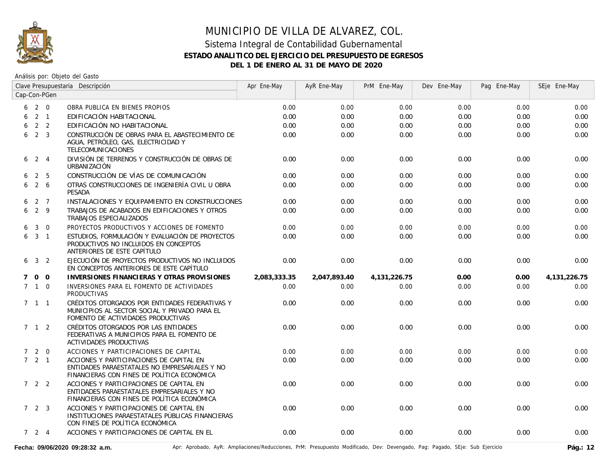

|   | Clave Presupuestaria Descripción |                |                                                                                                                                          | Apr Ene-May  | AyR Ene-May  | PrM Ene-May     | Dev Ene-May | Pag Ene-May | SEje Ene-May    |
|---|----------------------------------|----------------|------------------------------------------------------------------------------------------------------------------------------------------|--------------|--------------|-----------------|-------------|-------------|-----------------|
|   |                                  | Cap-Con-PGen   |                                                                                                                                          |              |              |                 |             |             |                 |
|   | $6\quad 2\quad 0$                |                | OBRA PUBLICA EN BIENES PROPIOS                                                                                                           | 0.00         | 0.00         | 0.00            | 0.00        | 0.00        | 0.00            |
| 6 | $2 \quad 1$                      |                | EDIFICACIÓN HABITACIONAL                                                                                                                 | 0.00         | 0.00         | 0.00            | 0.00        | 0.00        | 0.00            |
| 6 |                                  | 2 <sub>2</sub> | EDIFICACIÓN NO HABITACIONAL                                                                                                              | 0.00         | 0.00         | 0.00            | 0.00        | 0.00        | 0.00            |
| 6 | 2 <sup>3</sup>                   |                | CONSTRUCCIÓN DE OBRAS PARA EL ABASTECIMIENTO DE<br>AGUA, PETRÓLEO, GAS, ELECTRICIDAD Y<br><b>TELECOMUNICACIONES</b>                      | 0.00         | 0.00         | 0.00            | 0.00        | 0.00        | 0.00            |
|   | $6 \t2 \t4$                      |                | DIVISIÓN DE TERRENOS Y CONSTRUCCIÓN DE OBRAS DE<br>URBANIZACIÓN                                                                          | 0.00         | 0.00         | 0.00            | 0.00        | 0.00        | 0.00            |
| 6 |                                  | 2 5            | CONSTRUCCIÓN DE VÍAS DE COMUNICACIÓN                                                                                                     | 0.00         | 0.00         | 0.00            | 0.00        | 0.00        | 0.00            |
| 6 |                                  | 2 6            | OTRAS CONSTRUCCIONES DE INGENIERÍA CIVIL U OBRA<br><b>PESADA</b>                                                                         | 0.00         | 0.00         | 0.00            | 0.00        | 0.00        | 0.00            |
| 6 |                                  | 2 7            | INSTALACIONES Y EQUIPAMIENTO EN CONSTRUCCIONES                                                                                           | 0.00         | 0.00         | 0.00            | 0.00        | 0.00        | 0.00            |
| 6 | 2 9                              |                | TRABAJOS DE ACABADOS EN EDIFICACIONES Y OTROS<br>TRABAJOS ESPECIALIZADOS                                                                 | 0.00         | 0.00         | 0.00            | 0.00        | 0.00        | 0.00            |
| 6 | $\overline{3}$                   | $\overline{0}$ | PROYECTOS PRODUCTIVOS Y ACCIONES DE FOMENTO                                                                                              | 0.00         | 0.00         | 0.00            | 0.00        | 0.00        | 0.00            |
|   | $6\quad 3\quad 1$                |                | ESTUDIOS, FORMULACIÓN Y EVALUACIÓN DE PROYECTOS<br>PRODUCTIVOS NO INCLUIDOS EN CONCEPTOS<br>ANTERIORES DE ESTE CAPÍTULO                  | 0.00         | 0.00         | 0.00            | 0.00        | 0.00        | 0.00            |
|   | $6 \t3 \t2$                      |                | EJECUCIÓN DE PROYECTOS PRODUCTIVOS NO INCLUIDOS<br>EN CONCEPTOS ANTERIORES DE ESTE CAPÍTULO                                              | 0.00         | 0.00         | 0.00            | 0.00        | 0.00        | 0.00            |
| 7 |                                  | $0\quad 0$     | <b>INVERSIONES FINANCIERAS Y OTRAS PROVISIONES</b>                                                                                       | 2,083,333.35 | 2,047,893.40 | 4, 131, 226. 75 | 0.00        | 0.00        | 4, 131, 226. 75 |
|   | $7\quad1\quad0$                  |                | INVERSIONES PARA EL FOMENTO DE ACTIVIDADES<br><b>PRODUCTIVAS</b>                                                                         | 0.00         | 0.00         | 0.00            | 0.00        | 0.00        | 0.00            |
|   | $7 \t1 \t1$                      |                | CRÉDITOS OTORGADOS POR ENTIDADES FEDERATIVAS Y<br>MUNICIPIOS AL SECTOR SOCIAL Y PRIVADO PARA EL<br>FOMENTO DE ACTIVIDADES PRODUCTIVAS    | 0.00         | 0.00         | 0.00            | 0.00        | 0.00        | 0.00            |
|   | $7 \quad 1 \quad 2$              |                | CRÉDITOS OTORGADOS POR LAS ENTIDADES<br>FEDERATIVAS A MUNICIPIOS PARA EL FOMENTO DE<br><b>ACTIVIDADES PRODUCTIVAS</b>                    | 0.00         | 0.00         | 0.00            | 0.00        | 0.00        | 0.00            |
|   | $7 2 0$                          |                | ACCIONES Y PARTICIPACIONES DE CAPITAL                                                                                                    | 0.00         | 0.00         | 0.00            | 0.00        | 0.00        | 0.00            |
|   | $7 \quad 2 \quad 1$              |                | ACCIONES Y PARTICIPACIONES DE CAPITAL EN<br>ENTIDADES PARAESTATALES NO EMPRESARIALES Y NO<br>FINANCIERAS CON FINES DE POLÍTICA ECONÓMICA | 0.00         | 0.00         | 0.00            | 0.00        | 0.00        | 0.00            |
|   | $7\quad 2\quad 2$                |                | ACCIONES Y PARTICIPACIONES DE CAPITAL EN<br>ENTIDADES PARAESTATALES EMPRESARIALES Y NO<br>FINANCIERAS CON FINES DE POLÍTICA ECONÓMICA    | 0.00         | 0.00         | 0.00            | 0.00        | 0.00        | 0.00            |
|   | $7\quad 2\quad 3$                |                | ACCIONES Y PARTICIPACIONES DE CAPITAL EN<br>INSTITUCIONES PARAESTATALES PÚBLICAS FINANCIERAS<br>CON FINES DE POLÍTICA ECONÓMICA          | 0.00         | 0.00         | 0.00            | 0.00        | 0.00        | 0.00            |
|   | $7 \quad 2 \quad 4$              |                | ACCIONES Y PARTICIPACIONES DE CAPITAL EN EL                                                                                              | 0.00         | 0.00         | 0.00            | 0.00        | 0.00        | 0.00            |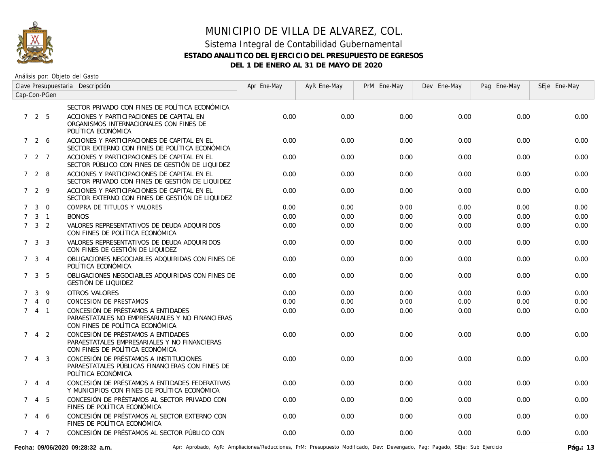

| Clave Presupuestaria Descripción |                     |                |                                                                                                                          | Apr Ene-May | AyR Ene-May | PrM Ene-May | Dev Ene-May | Pag Ene-May | SEje Ene-May |
|----------------------------------|---------------------|----------------|--------------------------------------------------------------------------------------------------------------------------|-------------|-------------|-------------|-------------|-------------|--------------|
| Cap-Con-PGen                     |                     |                |                                                                                                                          |             |             |             |             |             |              |
|                                  |                     |                | SECTOR PRIVADO CON FINES DE POLÍTICA ECONÓMICA                                                                           |             |             |             |             |             |              |
|                                  | 725                 |                | ACCIONES Y PARTICIPACIONES DE CAPITAL EN<br>ORGANISMOS INTERNACIONALES CON FINES DE<br>POLÍTICA ECONÓMICA                | 0.00        | 0.00        | 0.00        | 0.00        | 0.00        | 0.00         |
|                                  | 7 2 6               |                | ACCIONES Y PARTICIPACIONES DE CAPITAL EN EL<br>SECTOR EXTERNO CON FINES DE POLÍTICA ECONÓMICA                            | 0.00        | 0.00        | 0.00        | 0.00        | 0.00        | 0.00         |
|                                  | 727                 |                | ACCIONES Y PARTICIPACIONES DE CAPITAL EN EL<br>SECTOR PÚBLICO CON FINES DE GESTIÓN DE LIQUIDEZ                           | 0.00        | 0.00        | 0.00        | 0.00        | 0.00        | 0.00         |
|                                  | 7 2 8               |                | ACCIONES Y PARTICIPACIONES DE CAPITAL EN EL<br>SECTOR PRIVADO CON FINES DE GESTIÓN DE LIQUIDEZ                           | 0.00        | 0.00        | 0.00        | 0.00        | 0.00        | 0.00         |
|                                  | 729                 |                | ACCIONES Y PARTICIPACIONES DE CAPITAL EN EL<br>SECTOR EXTERNO CON FINES DE GESTIÓN DE LIQUIDEZ                           | 0.00        | 0.00        | 0.00        | 0.00        | 0.00        | 0.00         |
| $\mathcal{I}$                    | $\mathbf{3}$        | $\overline{0}$ | COMPRA DE TITULOS Y VALORES                                                                                              | 0.00        | 0.00        | 0.00        | 0.00        | 0.00        | 0.00         |
| $7\overline{ }$                  |                     | $3 \quad 1$    | <b>BONOS</b>                                                                                                             | 0.00        | 0.00        | 0.00        | 0.00        | 0.00        | 0.00         |
|                                  | $7 \quad 3 \quad 2$ |                | VALORES REPRESENTATIVOS DE DEUDA ADQUIRIDOS<br>CON FINES DE POLÍTICA ECONÓMICA                                           | 0.00        | 0.00        | 0.00        | 0.00        | 0.00        | 0.00         |
|                                  | $7 \quad 3 \quad 3$ |                | VALORES REPRESENTATIVOS DE DEUDA ADQUIRIDOS<br>CON FINES DE GESTIÓN DE LIQUIDEZ                                          | 0.00        | 0.00        | 0.00        | 0.00        | 0.00        | 0.00         |
|                                  | $7 \t3 \t4$         |                | OBLIGACIONES NEGOCIABLES ADQUIRIDAS CON FINES DE<br>POLÍTICA ECONÓMICA                                                   | 0.00        | 0.00        | 0.00        | 0.00        | 0.00        | 0.00         |
|                                  | $7 \quad 3 \quad 5$ |                | OBLIGACIONES NEGOCIABLES ADQUIRIDAS CON FINES DE<br>GESTIÓN DE LIQUIDEZ                                                  | 0.00        | 0.00        | 0.00        | 0.00        | 0.00        | 0.00         |
| $7^{\circ}$                      | 3                   | 9              | OTROS VALORES                                                                                                            | 0.00        | 0.00        | 0.00        | 0.00        | 0.00        | 0.00         |
| $\mathcal{I}$                    | $\overline{4}$      | $\overline{0}$ | CONCESION DE PRESTAMOS                                                                                                   | 0.00        | 0.00        | 0.00        | 0.00        | 0.00        | 0.00         |
|                                  | 741                 |                | CONCESIÓN DE PRÉSTAMOS A ENTIDADES<br>PARAESTATALES NO EMPRESARIALES Y NO FINANCIERAS<br>CON FINES DE POLÍTICA ECONÓMICA | 0.00        | 0.00        | 0.00        | 0.00        | 0.00        | 0.00         |
| $7^{\circ}$                      |                     | $4\quad 2$     | CONCESIÓN DE PRÉSTAMOS A ENTIDADES<br>PARAESTATALES EMPRESARIALES Y NO FINANCIERAS<br>CON FINES DE POLÍTICA ECONÓMICA    | 0.00        | 0.00        | 0.00        | 0.00        | 0.00        | 0.00         |
|                                  | $7 \t4 \t3$         |                | CONCESIÓN DE PRÉSTAMOS A INSTITUCIONES<br>PARAESTATALES PÚBLICAS FINANCIERAS CON FINES DE<br>POLÍTICA ECONÓMICA          | 0.00        | 0.00        | 0.00        | 0.00        | 0.00        | 0.00         |
| $7^{\circ}$                      |                     | $4\quad 4$     | CONCESIÓN DE PRÉSTAMOS A ENTIDADES FEDERATIVAS<br>Y MUNICIPIOS CON FINES DE POLÍTICA ECONÓMICA                           | 0.00        | 0.00        | 0.00        | 0.00        | 0.00        | 0.00         |
| 7                                |                     | 4 5            | CONCESIÓN DE PRÉSTAMOS AL SECTOR PRIVADO CON<br>FINES DE POLÍTICA ECONÓMICA                                              | 0.00        | 0.00        | 0.00        | 0.00        | 0.00        | 0.00         |
|                                  | 7 4 6               |                | CONCESIÓN DE PRÉSTAMOS AL SECTOR EXTERNO CON<br>FINES DE POLÍTICA ECONÓMICA                                              | 0.00        | 0.00        | 0.00        | 0.00        | 0.00        | 0.00         |
|                                  | 7 4 7               |                | CONCESIÓN DE PRÉSTAMOS AL SECTOR PÚBLICO CON                                                                             | 0.00        | 0.00        | 0.00        | 0.00        | 0.00        | 0.00         |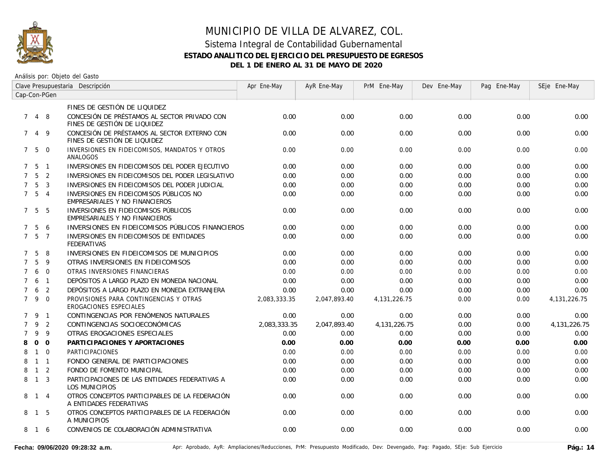

| Clave Presupuestaria Descripción |                   |                |                                                                              | Apr Ene-May  | AyR Ene-May  | PrM Ene-May     | Dev Ene-May | Pag Ene-May | SEje Ene-May    |
|----------------------------------|-------------------|----------------|------------------------------------------------------------------------------|--------------|--------------|-----------------|-------------|-------------|-----------------|
|                                  | Cap-Con-PGen      |                |                                                                              |              |              |                 |             |             |                 |
|                                  |                   |                | FINES DE GESTIÓN DE LIQUIDEZ                                                 |              |              |                 |             |             |                 |
|                                  | 748               |                | CONCESIÓN DE PRÉSTAMOS AL SECTOR PRIVADO CON<br>FINES DE GESTIÓN DE LIQUIDEZ | 0.00         | 0.00         | 0.00            | 0.00        | 0.00        | 0.00            |
| $7^{\circ}$                      |                   | 4 9            | CONCESIÓN DE PRÉSTAMOS AL SECTOR EXTERNO CON<br>FINES DE GESTIÓN DE LIQUIDEZ | 0.00         | 0.00         | 0.00            | 0.00        | 0.00        | 0.00            |
|                                  | 750               |                | INVERSIONES EN FIDEICOMISOS, MANDATOS Y OTROS<br>ANALOGOS                    | 0.00         | 0.00         | 0.00            | 0.00        | 0.00        | 0.00            |
|                                  | $7\quad 5\quad 1$ |                | INVERSIONES EN FIDEICOMISOS DEL PODER EJECUTIVO                              | 0.00         | 0.00         | 0.00            | 0.00        | 0.00        | 0.00            |
|                                  | 7 <sub>5</sub>    | $\overline{2}$ | INVERSIONES EN FIDEICOMISOS DEL PODER LEGISLATIVO                            | 0.00         | 0.00         | 0.00            | 0.00        | 0.00        | 0.00            |
| $7^{\circ}$                      | 5                 | $\overline{3}$ | INVERSIONES EN FIDEICOMISOS DEL PODER JUDICIAL                               | 0.00         | 0.00         | 0.00            | 0.00        | 0.00        | 0.00            |
|                                  | $7\quad 5\quad 4$ |                | INVERSIONES EN FIDEICOMISOS PÚBLICOS NO<br>EMPRESARIALES Y NO FINANCIEROS    | 0.00         | 0.00         | 0.00            | 0.00        | 0.00        | 0.00            |
|                                  | 7 5               | - 5            | INVERSIONES EN FIDEICOMISOS PÚBLICOS<br>EMPRESARIALES Y NO FINANCIEROS       | 0.00         | 0.00         | 0.00            | 0.00        | 0.00        | 0.00            |
| $7^{\circ}$                      | $5^{\circ}$       | 6              | INVERSIONES EN FIDEICOMISOS PÚBLICOS FINANCIEROS                             | 0.00         | 0.00         | 0.00            | 0.00        | 0.00        | 0.00            |
| $7^{\circ}$                      | 5                 | $\overline{7}$ | INVERSIONES EN FIDEICOMISOS DE ENTIDADES<br><b>FEDERATIVAS</b>               | 0.00         | 0.00         | 0.00            | 0.00        | 0.00        | 0.00            |
| 7                                | 5                 | 8              | INVERSIONES EN FIDEICOMISOS DE MUNICIPIOS                                    | 0.00         | 0.00         | 0.00            | 0.00        | 0.00        | 0.00            |
| $7^{\circ}$                      | 5                 | 9              | OTRAS INVERSIONES EN FIDEICOMISOS                                            | 0.00         | 0.00         | 0.00            | 0.00        | 0.00        | 0.00            |
| $\overline{7}$                   | 6                 | $\Omega$       | OTRAS INVERSIONES FINANCIERAS                                                | 0.00         | 0.00         | 0.00            | 0.00        | 0.00        | 0.00            |
| $\overline{7}$                   | 6                 | $\overline{1}$ | DEPÓSITOS A LARGO PLAZO EN MONEDA NACIONAL                                   | 0.00         | 0.00         | 0.00            | 0.00        | 0.00        | 0.00            |
| $\overline{7}$                   | 6                 | $\overline{2}$ | DEPÓSITOS A LARGO PLAZO EN MONEDA EXTRANJERA                                 | 0.00         | 0.00         | 0.00            | 0.00        | 0.00        | 0.00            |
| $7^{\circ}$                      | 9 0               |                | PROVISIONES PARA CONTINGENCIAS Y OTRAS<br>EROGACIONES ESPECIALES             | 2,083,333.35 | 2,047,893.40 | 4,131,226.75    | 0.00        | 0.00        | 4, 131, 226. 75 |
| $\mathcal{I}$                    | -9                | $\overline{1}$ | CONTINGENCIAS POR FENÓMENOS NATURALES                                        | 0.00         | 0.00         | 0.00            | 0.00        | 0.00        | 0.00            |
| $\overline{7}$                   |                   | 9 <sub>2</sub> | CONTINGENCIAS SOCIOECONÓMICAS                                                | 2,083,333.35 | 2,047,893.40 | 4, 131, 226. 75 | 0.00        | 0.00        | 4, 131, 226. 75 |
| $\overline{7}$                   | 9                 | - 9            | OTRAS EROGACIONES ESPECIALES                                                 | 0.00         | 0.00         | 0.00            | 0.00        | 0.00        | 0.00            |
| 8                                |                   | $0\quad 0$     | PARTICIPACIONES Y APORTACIONES                                               | 0.00         | 0.00         | 0.00            | 0.00        | 0.00        | 0.00            |
| 8                                | $\mathbf{1}$      | $\overline{0}$ | <b>PARTICIPACIONES</b>                                                       | 0.00         | 0.00         | 0.00            | 0.00        | 0.00        | 0.00            |
| 8                                | $1 \quad 1$       |                | FONDO GENERAL DE PARTICIPACIONES                                             | 0.00         | 0.00         | 0.00            | 0.00        | 0.00        | 0.00            |
| 8                                | $1\quad 2$        |                | FONDO DE FOMENTO MUNICIPAL                                                   | 0.00         | 0.00         | 0.00            | 0.00        | 0.00        | 0.00            |
| 8                                | $1 \quad 3$       |                | PARTICIPACIONES DE LAS ENTIDADES FEDERATIVAS A<br><b>LOS MUNICIPIOS</b>      | 0.00         | 0.00         | 0.00            | 0.00        | 0.00        | 0.00            |
|                                  | 8 1 4             |                | OTROS CONCEPTOS PARTICIPABLES DE LA FEDERACIÓN<br>A ENTIDADES FEDERATIVAS    | 0.00         | 0.00         | 0.00            | 0.00        | 0.00        | 0.00            |
|                                  | 8 1 5             |                | OTROS CONCEPTOS PARTICIPABLES DE LA FEDERACIÓN<br>A MUNICIPIOS               | 0.00         | 0.00         | 0.00            | 0.00        | 0.00        | 0.00            |
|                                  | 8 1 6             |                | CONVENIOS DE COLABORACIÓN ADMINISTRATIVA                                     | 0.00         | 0.00         | 0.00            | 0.00        | 0.00        | 0.00            |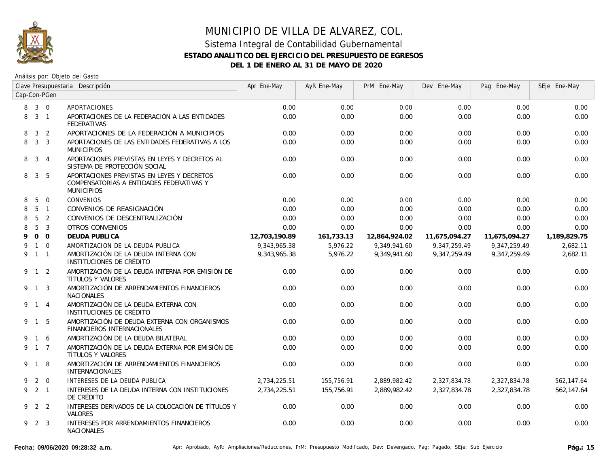

| Clave Presupuestaria Descripción |                 |                |                                                                                                             | Apr Ene-May   | AyR Ene-May | PrM Ene-May   | Dev Ene-May   | Pag Ene-May   | SEje Ene-May |
|----------------------------------|-----------------|----------------|-------------------------------------------------------------------------------------------------------------|---------------|-------------|---------------|---------------|---------------|--------------|
| Cap-Con-PGen                     |                 |                |                                                                                                             |               |             |               |               |               |              |
| 8                                | $3 \quad 0$     |                | APORTACIONES                                                                                                | 0.00          | 0.00        | 0.00          | 0.00          | 0.00          | 0.00         |
| 8                                | 3 <sub>1</sub>  |                | APORTACIONES DE LA FEDERACIÓN A LAS ENTIDADES<br><b>FEDERATIVAS</b>                                         | 0.00          | 0.00        | 0.00          | 0.00          | 0.00          | 0.00         |
| 8                                | 3 <sup>1</sup>  | $\overline{2}$ | APORTACIONES DE LA FEDERACIÓN A MUNICIPIOS                                                                  | 0.00          | 0.00        | 0.00          | 0.00          | 0.00          | 0.00         |
| 8                                |                 | 3 <sup>3</sup> | APORTACIONES DE LAS ENTIDADES FEDERATIVAS A LOS<br><b>MUNICIPIOS</b>                                        | 0.00          | 0.00        | 0.00          | 0.00          | 0.00          | 0.00         |
| 8                                |                 | $3 \quad 4$    | APORTACIONES PREVISTAS EN LEYES Y DECRETOS AL<br>SISTEMA DE PROTECCIÓN SOCIAL                               | 0.00          | 0.00        | 0.00          | 0.00          | 0.00          | 0.00         |
| 8                                |                 | 3 <sub>5</sub> | APORTACIONES PREVISTAS EN LEYES Y DECRETOS<br>COMPENSATORIAS A ENTIDADES FEDERATIVAS Y<br><b>MUNICIPIOS</b> | 0.00          | 0.00        | 0.00          | 0.00          | 0.00          | 0.00         |
| 8                                | 5               | $\overline{0}$ | <b>CONVENIOS</b>                                                                                            | 0.00          | 0.00        | 0.00          | 0.00          | 0.00          | 0.00         |
| 8                                |                 | 5 <sub>1</sub> | CONVENIOS DE REASIGNACIÓN                                                                                   | 0.00          | 0.00        | 0.00          | 0.00          | 0.00          | 0.00         |
| 8                                | $5\overline{)}$ | $\overline{2}$ | CONVENIOS DE DESCENTRALIZACIÓN                                                                              | 0.00          | 0.00        | 0.00          | 0.00          | 0.00          | 0.00         |
| 8                                | 5               | $\overline{3}$ | <b>OTROS CONVENIOS</b>                                                                                      | 0.00          | 0.00        | 0.00          | 0.00          | 0.00          | 0.00         |
| 9                                |                 | $0\quad 0$     | DEUDA PUBLICA                                                                                               | 12,703,190.89 | 161,733.13  | 12,864,924.02 | 11,675,094.27 | 11,675,094.27 | 1,189,829.75 |
| 9                                |                 | $1 \quad 0$    | AMORTIZACION DE LA DEUDA PUBLICA                                                                            | 9,343,965.38  | 5,976.22    | 9,349,941.60  | 9,347,259.49  | 9,347,259.49  | 2,682.11     |
|                                  | 9 1 1           |                | AMORTIZACIÓN DE LA DEUDA INTERNA CON<br>INSTITUCIONES DE CRÉDITO                                            | 9.343.965.38  | 5.976.22    | 9.349.941.60  | 9.347.259.49  | 9.347.259.49  | 2,682.11     |
|                                  | $9 \t1 \t2$     |                | AMORTIZACIÓN DE LA DEUDA INTERNA POR EMISIÓN DE<br>TÍTULOS Y VALORES                                        | 0.00          | 0.00        | 0.00          | 0.00          | 0.00          | 0.00         |
|                                  | 9 1 3           |                | AMORTIZACIÓN DE ARRENDAMIENTOS FINANCIEROS<br><b>NACIONALES</b>                                             | 0.00          | 0.00        | 0.00          | 0.00          | 0.00          | 0.00         |
|                                  | 9 1 4           |                | AMORTIZACIÓN DE LA DEUDA EXTERNA CON<br>INSTITUCIONES DE CRÉDITO                                            | 0.00          | 0.00        | 0.00          | 0.00          | 0.00          | 0.00         |
|                                  | 9 1 5           |                | AMORTIZACIÓN DE DEUDA EXTERNA CON ORGANISMOS<br>FINANCIEROS INTERNACIONALES                                 | 0.00          | 0.00        | 0.00          | 0.00          | 0.00          | 0.00         |
|                                  | 1 6             |                | AMORTIZACIÓN DE LA DEUDA BILATERAL                                                                          | 0.00          | 0.00        | 0.00          | 0.00          | 0.00          | 0.00         |
|                                  | 9 1 7           |                | AMORTIZACIÓN DE LA DEUDA EXTERNA POR EMISIÓN DE<br>TÍTULOS Y VALORES                                        | 0.00          | 0.00        | 0.00          | 0.00          | 0.00          | 0.00         |
|                                  | 9 1 8           |                | AMORTIZACIÓN DE ARRENDAMIENTOS FINANCIEROS<br><b>INTERNACIONALES</b>                                        | 0.00          | 0.00        | 0.00          | 0.00          | 0.00          | 0.00         |
| 9                                |                 | $2 \quad 0$    | INTERESES DE LA DEUDA PUBLICA                                                                               | 2,734,225.51  | 155,756.91  | 2,889,982.42  | 2.327.834.78  | 2.327.834.78  | 562,147.64   |
|                                  | $9$ 2 1         |                | INTERESES DE LA DEUDA INTERNA CON INSTITUCIONES<br>DE CRÉDITO                                               | 2.734.225.51  | 155,756.91  | 2.889.982.42  | 2.327.834.78  | 2.327.834.78  | 562.147.64   |
|                                  | 9 2 2           |                | INTERESES DERIVADOS DE LA COLOCACIÓN DE TÍTULOS Y<br><b>VALORES</b>                                         | 0.00          | 0.00        | 0.00          | 0.00          | 0.00          | 0.00         |
|                                  | 9 2 3           |                | INTERESES POR ARRENDAMIENTOS FINANCIEROS<br><b>NACIONALES</b>                                               | 0.00          | 0.00        | 0.00          | 0.00          | 0.00          | 0.00         |